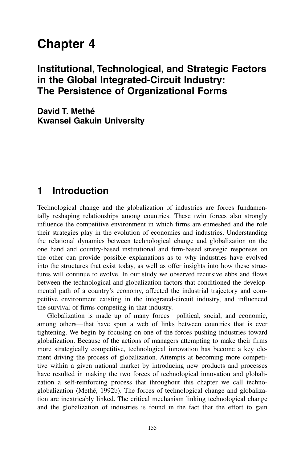# **Chapter 4**

**Institutional, Technological, and Strategic Factors in the Global Integrated-Circuit Industry: The Persistence of Organizational Forms**

**David T. Methé Kwansei Gakuin University**

## **1 Introduction**

Technological change and the globalization of industries are forces fundamentally reshaping relationships among countries. These twin forces also strongly influence the competitive environment in which firms are enmeshed and the role their strategies play in the evolution of economies and industries. Understanding the relational dynamics between technological change and globalization on the one hand and country-based institutional and firm-based strategic responses on the other can provide possible explanations as to why industries have evolved into the structures that exist today, as well as offer insights into how these structures will continue to evolve. In our study we observed recursive ebbs and flows between the technological and globalization factors that conditioned the developmental path of a country's economy, affected the industrial trajectory and competitive environment existing in the integrated-circuit industry, and influenced the survival of firms competing in that industry.

Globalization is made up of many forces―political, social, and economic, among others―that have spun a web of links between countries that is ever tightening. We begin by focusing on one of the forces pushing industries toward globalization. Because of the actions of managers attempting to make their firms more strategically competitive, technological innovation has become a key element driving the process of globalization. Attempts at becoming more competitive within a given national market by introducing new products and processes have resulted in making the two forces of technological innovation and globalization a self-reinforcing process that throughout this chapter we call technoglobalization (Methé, 1992b). The forces of technological change and globalization are inextricably linked. The critical mechanism linking technological change and the globalization of industries is found in the fact that the effort to gain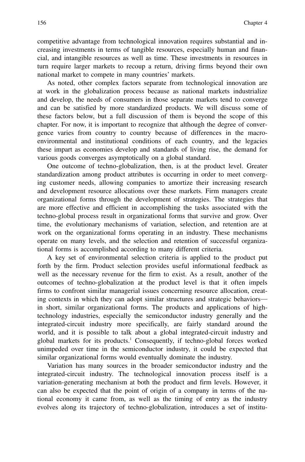competitive advantage from technological innovation requires substantial and increasing investments in terms of tangible resources, especially human and financial, and intangible resources as well as time. These investments in resources in turn require larger markets to recoup a return, driving firms beyond their own national market to compete in many countries' markets.

As noted, other complex factors separate from technological innovation are at work in the globalization process because as national markets industrialize and develop, the needs of consumers in those separate markets tend to converge and can be satisfied by more standardized products. We will discuss some of these factors below, but a full discussion of them is beyond the scope of this chapter. For now, it is important to recognize that although the degree of convergence varies from country to country because of differences in the macroenvironmental and institutional conditions of each country, and the legacies these impart as economies develop and standards of living rise, the demand for various goods converges asymptotically on a global standard.

One outcome of techno-globalization, then, is at the product level. Greater standardization among product attributes is occurring in order to meet converging customer needs, allowing companies to amortize their increasing research and development resource allocations over these markets. Firm managers create organizational forms through the development of strategies. The strategies that are more effective and efficient in accomplishing the tasks associated with the techno-global process result in organizational forms that survive and grow. Over time, the evolutionary mechanisms of variation, selection, and retention are at work on the organizational forms operating in an industry. These mechanisms operate on many levels, and the selection and retention of successful organizational forms is accomplished according to many different criteria.

A key set of environmental selection criteria is applied to the product put forth by the firm. Product selection provides useful informational feedback as well as the necessary revenue for the firm to exist. As a result, another of the outcomes of techno-globalization at the product level is that it often impels firms to confront similar managerial issues concerning resource allocation, creating contexts in which they can adopt similar structures and strategic behaviors― in short, similar organizational forms. The products and applications of hightechnology industries, especially the semiconductor industry generally and the integrated-circuit industry more specifically, are fairly standard around the world, and it is possible to talk about a global integrated-circuit industry and global markets for its products.<sup>1</sup> Consequently, if techno-global forces worked unimpeded over time in the semiconductor industry, it could be expected that similar organizational forms would eventually dominate the industry.

Variation has many sources in the broader semiconductor industry and the integrated-circuit industry. The technological innovation process itself is a variation-generating mechanism at both the product and firm levels. However, it can also be expected that the point of origin of a company in terms of the national economy it came from, as well as the timing of entry as the industry evolves along its trajectory of techno-globalization, introduces a set of institu-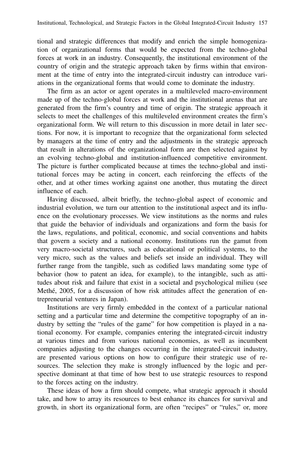tional and strategic differences that modify and enrich the simple homogenization of organizational forms that would be expected from the techno-global forces at work in an industry. Consequently, the institutional environment of the country of origin and the strategic approach taken by firms within that environment at the time of entry into the integrated-circuit industry can introduce variations in the organizational forms that would come to dominate the industry.

The firm as an actor or agent operates in a multileveled macro-environment made up of the techno-global forces at work and the institutional arenas that are generated from the firm's country and time of origin. The strategic approach it selects to meet the challenges of this multileveled environment creates the firm's organizational form. We will return to this discussion in more detail in later sections. For now, it is important to recognize that the organizational form selected by managers at the time of entry and the adjustments in the strategic approach that result in alterations of the organizational form are then selected against by an evolving techno-global and institution-influenced competitive environment. The picture is further complicated because at times the techno-global and institutional forces may be acting in concert, each reinforcing the effects of the other, and at other times working against one another, thus mutating the direct influence of each.

Having discussed, albeit briefly, the techno-global aspect of economic and industrial evolution, we turn our attention to the institutional aspect and its influence on the evolutionary processes. We view institutions as the norms and rules that guide the behavior of individuals and organizations and form the basis for the laws, regulations, and political, economic, and social conventions and habits that govern a society and a national economy. Institutions run the gamut from very macro-societal structures, such as educational or political systems, to the very micro, such as the values and beliefs set inside an individual. They will further range from the tangible, such as codified laws mandating some type of behavior (how to patent an idea, for example), to the intangible, such as attitudes about risk and failure that exist in a societal and psychological milieu (see Methé, 2005, for a discussion of how risk attitudes affect the generation of entrepreneurial ventures in Japan).

Institutions are very firmly embedded in the context of a particular national setting and a particular time and determine the competitive topography of an industry by setting the "rules of the game" for how competition is played in a national economy. For example, companies entering the integrated-circuit industry at various times and from various national economies, as well as incumbent companies adjusting to the changes occurring in the integrated-circuit industry, are presented various options on how to configure their strategic use of resources. The selection they make is strongly influenced by the logic and perspective dominant at that time of how best to use strategic resources to respond to the forces acting on the industry.

These ideas of how a firm should compete, what strategic approach it should take, and how to array its resources to best enhance its chances for survival and growth, in short its organizational form, are often "recipes" or "rules," or, more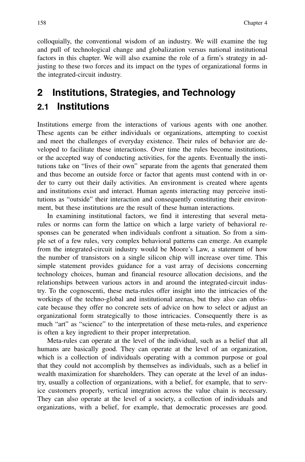colloquially, the conventional wisdom of an industry. We will examine the tug and pull of technological change and globalization versus national institutional factors in this chapter. We will also examine the role of a firm's strategy in adjusting to these two forces and its impact on the types of organizational forms in the integrated-circuit industry.

## **2 Institutions, Strategies, and Technology 2.1 Institutions**

Institutions emerge from the interactions of various agents with one another. These agents can be either individuals or organizations, attempting to coexist and meet the challenges of everyday existence. Their rules of behavior are developed to facilitate these interactions. Over time the rules become institutions, or the accepted way of conducting activities, for the agents. Eventually the institutions take on "lives of their own" separate from the agents that generated them and thus become an outside force or factor that agents must contend with in order to carry out their daily activities. An environment is created where agents and institutions exist and interact. Human agents interacting may perceive institutions as "outside" their interaction and consequently constituting their environment, but these institutions are the result of these human interactions.

In examining institutional factors, we find it interesting that several metarules or norms can form the lattice on which a large variety of behavioral responses can be generated when individuals confront a situation. So from a simple set of a few rules, very complex behavioral patterns can emerge. An example from the integrated-circuit industry would be Moore's Law, a statement of how the number of transistors on a single silicon chip will increase over time. This simple statement provides guidance for a vast array of decisions concerning technology choices, human and financial resource allocation decisions, and the relationships between various actors in and around the integrated-circuit industry. To the cognoscenti, these meta-rules offer insight into the intricacies of the workings of the techno-global and institutional arenas, but they also can obfuscate because they offer no concrete sets of advice on how to select or adjust an organizational form strategically to those intricacies. Consequently there is as much "art" as "science" to the interpretation of these meta-rules, and experience is often a key ingredient to their proper interpretation.

Meta-rules can operate at the level of the individual, such as a belief that all humans are basically good. They can operate at the level of an organization, which is a collection of individuals operating with a common purpose or goal that they could not accomplish by themselves as individuals, such as a belief in wealth maximization for shareholders. They can operate at the level of an industry, usually a collection of organizations, with a belief, for example, that to service customers properly, vertical integration across the value chain is necessary. They can also operate at the level of a society, a collection of individuals and organizations, with a belief, for example, that democratic processes are good.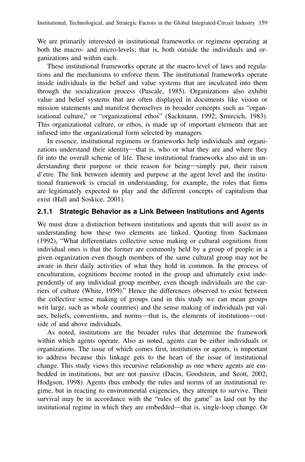We are primarily interested in institutional frameworks or regimens operating at both the macro- and micro-levels; that is, both outside the individuals and organizations and within each.

These institutional frameworks operate at the macro-level of laws and regulations and the mechanisms to enforce them. The institutional frameworks operate inside individuals in the belief and value systems that are inculcated into them through the socialization process (Pascale, 1985). Organizations also exhibit value and belief systems that are often displayed in documents like vision or mission statements and manifest themselves in broader concepts such as "organizational culture," or "organizational ethos" (Sackmann, 1992; Smircich, 1983). This organizational culture, or ethos, is made up of important elements that are infused into the organizational form selected by managers.

In essence, institutional regimens or frameworks help individuals and organizations understand their identity―that is, who or what they are and where they fit into the overall scheme of life. These institutional frameworks also aid in understanding their purpose or their reason for being―simply put, their raison d'etre. The link between identity and purpose at the agent level and the institutional framework is crucial in understanding, for example, the roles that firms are legitimately expected to play and the different concepts of capitalism that exist (Hall and Soskice, 2001).

#### **2.1.1 Strategic Behavior as a Link Between Institutions and Agents**

We must draw a distinction between institutions and agents that will assist us in understanding how these two elements are linked. Quoting from Sackmann (1992), "What differentiates collective sense making or cultural cognitions from individual ones is that the former are commonly held by a group of people in a given organization even though members of the same cultural group may not be aware in their daily activities of what they hold in common. In the process of enculturation, cognitions become rooted in the group and ultimately exist independently of any individual group member, even though individuals are the carriers of culture (White, 1959)." Hence the differences observed to exist between the collective sense making of groups (and in this study we can mean groups writ large, such as whole countries) and the sense making of individuals put values, beliefs, conventions, and norms―that is, the elements of institutions―outside of and above individuals.

As noted, institutions are the broader rules that determine the framework within which agents operate. Also as noted, agents can be either individuals or organizations. The issue of which comes first, institutions or agents, is important to address because this linkage gets to the heart of the issue of institutional change. This study views this recursive relationship as one where agents are embedded in institutions, but are not passive (Dacin, Goodstein, and Scott, 2002; Hodgson, 1998). Agents thus embody the rules and norms of an institutional regime, but in reacting to environmental exigencies, they attempt to survive. Their survival may be in accordance with the "rules of the game" as laid out by the institutional regime in which they are embedded―that is, single-loop change. Or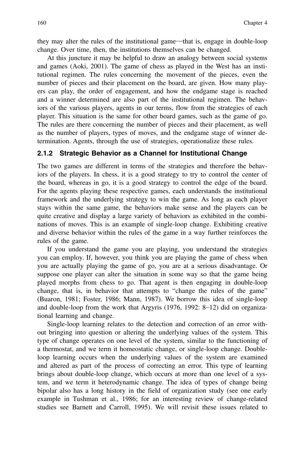they may alter the rules of the institutional game―that is, engage in double-loop change. Over time, then, the institutions themselves can be changed.

At this juncture it may be helpful to draw an analogy between social systems and games (Aoki, 2001). The game of chess as played in the West has an institutional regimen. The rules concerning the movement of the pieces, even the number of pieces and their placement on the board, are given. How many players can play, the order of engagement, and how the endgame stage is reached and a winner determined are also part of the institutional regimen. The behaviors of the various players, agents in our terms, flow from the strategies of each player. This situation is the same for other board games, such as the game of go. The rules are there concerning the number of pieces and their placement, as well as the number of players, types of moves, and the endgame stage of winner determination. Agents, through the use of strategies, operationalize these rules.

#### **2.1.2 Strategic Behavior as a Channel for Institutional Change**

The two games are different in terms of the strategies and therefore the behaviors of the players. In chess, it is a good strategy to try to control the center of the board, whereas in go, it is a good strategy to control the edge of the board. For the agents playing these respective games, each understands the institutional framework and the underlying strategy to win the game. As long as each player stays within the same game, the behaviors make sense and the players can be quite creative and display a large variety of behaviors as exhibited in the combinations of moves. This is an example of single-loop change. Exhibiting creative and diverse behavior within the rules of the game in a way further reinforces the rules of the game.

If you understand the game you are playing, you understand the strategies you can employ. If, however, you think you are playing the game of chess when you are actually playing the game of go, you are at a serious disadvantage. Or suppose one player can alter the situation in some way so that the game being played morphs from chess to go. That agent is then engaging in double-loop change, that is, in behavior that attempts to "change the rules of the game" (Buaron, 1981; Foster, 1986; Mann, 1987). We borrow this idea of single-loop and double-loop from the work that Argyris (1976, 1992: 8―12) did on organizational learning and change.

Single-loop learning relates to the detection and correction of an error without bringing into question or altering the underlying values of the system. This type of change operates on one level of the system, similar to the functioning of a thermostat, and we term it homeostatic change, or single-loop change. Doubleloop learning occurs when the underlying values of the system are examined and altered as part of the process of correcting an error. This type of learning brings about double-loop change, which occurs at more than one level of a system, and we term it heterodynamic change. The idea of types of change being bipolar also has a long history in the field of organization study (see one early example in Tushman et al., 1986; for an interesting review of change-related studies see Barnett and Carroll, 1995). We will revisit these issues related to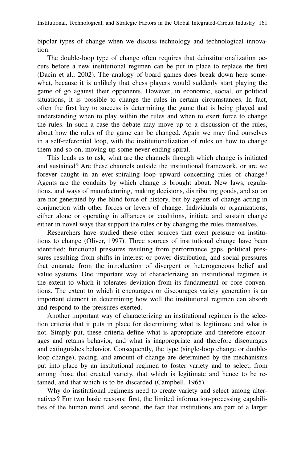bipolar types of change when we discuss technology and technological innovation.

The double-loop type of change often requires that deinstitutionalization occurs before a new institutional regimen can be put in place to replace the first (Dacin et al., 2002). The analogy of board games does break down here somewhat, because it is unlikely that chess players would suddenly start playing the game of go against their opponents. However, in economic, social, or political situations, it is possible to change the rules in certain circumstances. In fact, often the first key to success is determining the game that is being played and understanding when to play within the rules and when to exert force to change the rules. In such a case the debate may move up to a discussion of the rules, about how the rules of the game can be changed. Again we may find ourselves in a self-referential loop, with the institutionalization of rules on how to change them and so on, moving up some never-ending spiral.

This leads us to ask, what are the channels through which change is initiated and sustained? Are these channels outside the institutional framework, or are we forever caught in an ever-spiraling loop upward concerning rules of change? Agents are the conduits by which change is brought about. New laws, regulations, and ways of manufacturing, making decisions, distributing goods, and so on are not generated by the blind force of history, but by agents of change acting in conjunction with other forces or levers of change. Individuals or organizations, either alone or operating in alliances or coalitions, initiate and sustain change either in novel ways that support the rules or by changing the rules themselves.

Researchers have studied these other sources that exert pressure on institutions to change (Oliver, 1997). Three sources of institutional change have been identified: functional pressures resulting from performance gaps, political pressures resulting from shifts in interest or power distribution, and social pressures that emanate from the introduction of divergent or heterogeneous belief and value systems. One important way of characterizing an institutional regimen is the extent to which it tolerates deviation from its fundamental or core conventions. The extent to which it encourages or discourages variety generation is an important element in determining how well the institutional regimen can absorb and respond to the pressures exerted.

Another important way of characterizing an institutional regimen is the selection criteria that it puts in place for determining what is legitimate and what is not. Simply put, these criteria define what is appropriate and therefore encourages and retains behavior, and what is inappropriate and therefore discourages and extinguishes behavior. Consequently, the type (single-loop change or doubleloop change), pacing, and amount of change are determined by the mechanisms put into place by an institutional regimen to foster variety and to select, from among those that created variety, that which is legitimate and hence to be retained, and that which is to be discarded (Campbell, 1965).

Why do institutional regimens need to create variety and select among alternatives? For two basic reasons: first, the limited information-processing capabilities of the human mind, and second, the fact that institutions are part of a larger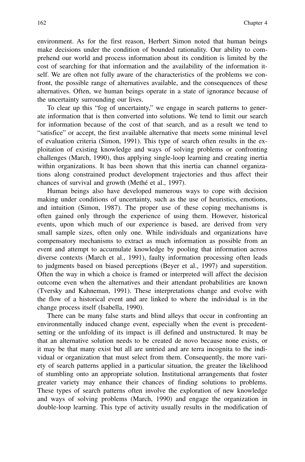environment. As for the first reason, Herbert Simon noted that human beings make decisions under the condition of bounded rationality. Our ability to comprehend our world and process information about its condition is limited by the cost of searching for that information and the availability of the information itself. We are often not fully aware of the characteristics of the problems we confront, the possible range of alternatives available, and the consequences of these alternatives. Often, we human beings operate in a state of ignorance because of the uncertainty surrounding our lives.

To clear up this "fog of uncertainty," we engage in search patterns to generate information that is then converted into solutions. We tend to limit our search for information because of the cost of that search, and as a result we tend to "satisfice" or accept, the first available alternative that meets some minimal level of evaluation criteria (Simon, 1991). This type of search often results in the exploitation of existing knowledge and ways of solving problems or confronting challenges (March, 1990), thus applying single-loop learning and creating inertia within organizations. It has been shown that this inertia can channel organizations along constrained product development trajectories and thus affect their chances of survival and growth (Methé et al., 1997).

Human beings also have developed numerous ways to cope with decision making under conditions of uncertainty, such as the use of heuristics, emotions, and intuition (Simon, 1987). The proper use of these coping mechanisms is often gained only through the experience of using them. However, historical events, upon which much of our experience is based, are derived from very small sample sizes, often only one. While individuals and organizations have compensatory mechanisms to extract as much information as possible from an event and attempt to accumulate knowledge by pooling that information across diverse contexts (March et al., 1991), faulty information processing often leads to judgments based on biased perceptions (Beyer et al., 1997) and superstition. Often the way in which a choice is framed or interpreted will affect the decision outcome even when the alternatives and their attendant probabilities are known (Tversky and Kahneman, 1991). These interpretations change and evolve with the flow of a historical event and are linked to where the individual is in the change process itself (Isabella, 1990).

There can be many false starts and blind alleys that occur in confronting an environmentally induced change event, especially when the event is precedentsetting or the unfolding of its impact is ill defined and unstructured. It may be that an alternative solution needs to be created de novo because none exists, or it may be that many exist but all are untried and are terra incognita to the individual or organization that must select from them. Consequently, the more variety of search patterns applied in a particular situation, the greater the likelihood of stumbling onto an appropriate solution. Institutional arrangements that foster greater variety may enhance their chances of finding solutions to problems. These types of search patterns often involve the exploration of new knowledge and ways of solving problems (March, 1990) and engage the organization in double-loop learning. This type of activity usually results in the modification of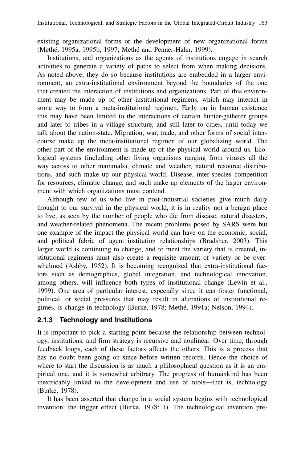existing organizational forms or the development of new organizational forms (Methé, 1995a, 1995b, 1997; Methé and Penner-Hahn, 1999).

Institutions, and organizations as the agents of institutions engage in search activities to generate a variety of paths to select from when making decisions. As noted above, they do so because institutions are embedded in a larger environment, an extra-institutional environment beyond the boundaries of the one that created the interaction of institutions and organizations. Part of this environment may be made up of other institutional regimens, which may interact in some way to form a meta-institutional regimen. Early on in human existence this may have been limited to the interactions of certain hunter-gatherer groups and later to tribes in a village structure, and still later to cities, until today we talk about the nation-state. Migration, war, trade, and other forms of social intercourse make up the meta-institutional regimen of our globalizing world. The other part of the environment is made up of the physical world around us. Ecological systems (including other living organisms ranging from viruses all the way across to other mammals), climate and weather, natural resource distributions, and such make up our physical world. Disease, inter-species competition for resources, climatic change, and such make up elements of the larger environment with which organizations must contend.

Although few of us who live in post-industrial societies give much daily thought to our survival in the physical world, it is in reality not a benign place to live, as seen by the number of people who die from disease, natural disasters, and weather-related phenomena. The recent problems posed by SARS were but one example of the impact the physical world can have on the economic, social, and political fabric of agent―institution relationships (Bradsher, 2003). This larger world is continuing to change, and to meet the variety that is created, institutional regimens must also create a requisite amount of variety or be overwhelmed (Ashby, 1952). It is becoming recognized that extra-institutional factors such as demographics, global integration, and technological innovation, among others, will influence both types of institutional change (Lewin et al., 1999). One area of particular interest, especially since it can foster functional, political, or social pressures that may result in alterations of institutional regimes, is change in technology (Burke, 1978; Methé, 1991a; Nelson, 1994).

#### **2.1.3 Technology and Institutions**

It is important to pick a starting point because the relationship between technology, institutions, and firm strategy is recursive and nonlinear. Over time, through feedback loops, each of these factors affects the others. This is a process that has no doubt been going on since before written records. Hence the choice of where to start the discussion is as much a philosophical question as it is an empirical one, and it is somewhat arbitrary. The progress of humankind has been inextricably linked to the development and use of tools―that is, technology (Burke, 1978).

It has been asserted that change in a social system begins with technological invention: the trigger effect (Burke, 1978: 1). The technological invention pre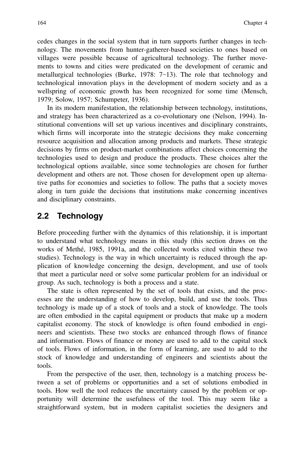cedes changes in the social system that in turn supports further changes in technology. The movements from hunter-gatherer-based societies to ones based on villages were possible because of agricultural technology. The further movements to towns and cities were predicated on the development of ceramic and metallurgical technologies (Burke, 1978: 7―13). The role that technology and technological innovation plays in the development of modern society and as a wellspring of economic growth has been recognized for some time (Mensch, 1979; Solow, 1957; Schumpeter, 1936).

In its modern manifestation, the relationship between technology, institutions, and strategy has been characterized as a co-evolutionary one (Nelson, 1994). Institutional conventions will set up various incentives and disciplinary constraints, which firms will incorporate into the strategic decisions they make concerning resource acquisition and allocation among products and markets. These strategic decisions by firms on product-market combinations affect choices concerning the technologies used to design and produce the products. These choices alter the technological options available, since some technologies are chosen for further development and others are not. Those chosen for development open up alternative paths for economies and societies to follow. The paths that a society moves along in turn guide the decisions that institutions make concerning incentives and disciplinary constraints.

### **2.2 Technology**

Before proceeding further with the dynamics of this relationship, it is important to understand what technology means in this study (this section draws on the works of Methé, 1985, 1991a, and the collected works cited within these two studies). Technology is the way in which uncertainty is reduced through the application of knowledge concerning the design, development, and use of tools that meet a particular need or solve some particular problem for an individual or group. As such, technology is both a process and a state.

The state is often represented by the set of tools that exists, and the processes are the understanding of how to develop, build, and use the tools. Thus technology is made up of a stock of tools and a stock of knowledge. The tools are often embodied in the capital equipment or products that make up a modern capitalist economy. The stock of knowledge is often found embodied in engineers and scientists. These two stocks are enhanced through flows of finance and information. Flows of finance or money are used to add to the capital stock of tools. Flows of information, in the form of learning, are used to add to the stock of knowledge and understanding of engineers and scientists about the tools.

From the perspective of the user, then, technology is a matching process between a set of problems or opportunities and a set of solutions embodied in tools. How well the tool reduces the uncertainty caused by the problem or opportunity will determine the usefulness of the tool. This may seem like a straightforward system, but in modern capitalist societies the designers and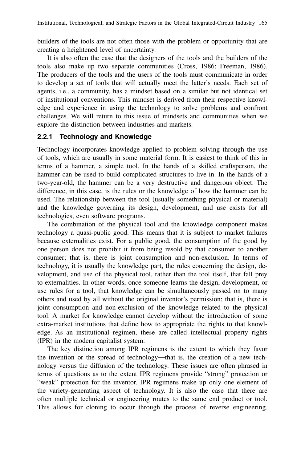builders of the tools are not often those with the problem or opportunity that are creating a heightened level of uncertainty.

It is also often the case that the designers of the tools and the builders of the tools also make up two separate communities (Cross, 1986; Freeman, 1986). The producers of the tools and the users of the tools must communicate in order to develop a set of tools that will actually meet the latter's needs. Each set of agents, i.e., a community, has a mindset based on a similar but not identical set of institutional conventions. This mindset is derived from their respective knowledge and experience in using the technology to solve problems and confront challenges. We will return to this issue of mindsets and communities when we explore the distinction between industries and markets.

#### **2.2.1 Technology and Knowledge**

Technology incorporates knowledge applied to problem solving through the use of tools, which are usually in some material form. It is easiest to think of this in terms of a hammer, a simple tool. In the hands of a skilled craftsperson, the hammer can be used to build complicated structures to live in. In the hands of a two-year-old, the hammer can be a very destructive and dangerous object. The difference, in this case, is the rules or the knowledge of how the hammer can be used. The relationship between the tool (usually something physical or material) and the knowledge governing its design, development, and use exists for all technologies, even software programs.

The combination of the physical tool and the knowledge component makes technology a quasi-public good. This means that it is subject to market failures because externalities exist. For a public good, the consumption of the good by one person does not prohibit it from being resold by that consumer to another consumer; that is, there is joint consumption and non-exclusion. In terms of technology, it is usually the knowledge part, the rules concerning the design, development, and use of the physical tool, rather than the tool itself, that fall prey to externalities. In other words, once someone learns the design, development, or use rules for a tool, that knowledge can be simultaneously passed on to many others and used by all without the original inventor's permission; that is, there is joint consumption and non-exclusion of the knowledge related to the physical tool. A market for knowledge cannot develop without the introduction of some extra-market institutions that define how to appropriate the rights to that knowledge. As an institutional regimen, these are called intellectual property rights (IPR) in the modern capitalist system.

The key distinction among IPR regimens is the extent to which they favor the invention or the spread of technology—that is, the creation of a new technology versus the diffusion of the technology. These issues are often phrased in terms of questions as to the extent IPR regimens provide "strong" protection or "weak" protection for the inventor. IPR regimens make up only one element of the variety-generating aspect of technology. It is also the case that there are often multiple technical or engineering routes to the same end product or tool. This allows for cloning to occur through the process of reverse engineering.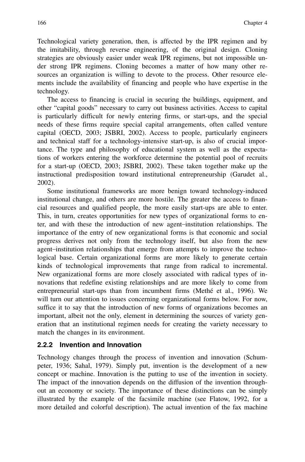Technological variety generation, then, is affected by the IPR regimen and by the imitability, through reverse engineering, of the original design. Cloning strategies are obviously easier under weak IPR regimens, but not impossible under strong IPR regimens. Cloning becomes a matter of how many other resources an organization is willing to devote to the process. Other resource elements include the availability of financing and people who have expertise in the technology.

The access to financing is crucial in securing the buildings, equipment, and other "capital goods" necessary to carry out business activities. Access to capital is particularly difficult for newly entering firms, or start-ups, and the special needs of these firms require special capital arrangements, often called venture capital (OECD, 2003; JSBRI, 2002). Access to people, particularly engineers and technical staff for a technology-intensive start-up, is also of crucial importance. The type and philosophy of educational system as well as the expectations of workers entering the workforce determine the potential pool of recruits for a start-up (OECD, 2003; JSBRI, 2002). These taken together make up the instructional predisposition toward institutional entrepreneurship (Garudet al., 2002).

Some institutional frameworks are more benign toward technology-induced institutional change, and others are more hostile. The greater the access to financial resources and qualified people, the more easily start-ups are able to enter. This, in turn, creates opportunities for new types of organizational forms to enter, and with these the introduction of new agent―institution relationships. The importance of the entry of new organizational forms is that economic and social progress derives not only from the technology itself, but also from the new agent―institution relationships that emerge from attempts to improve the technological base. Certain organizational forms are more likely to generate certain kinds of technological improvements that range from radical to incremental. New organizational forms are more closely associated with radical types of innovations that redefine existing relationships and are more likely to come from entrepreneurial start-ups than from incumbent firms (Methé et al., 1996). We will turn our attention to issues concerning organizational forms below. For now, suffice it to say that the introduction of new forms of organizations becomes an important, albeit not the only, element in determining the sources of variety generation that an institutional regimen needs for creating the variety necessary to match the changes in its environment.

#### **2.2.2 Invention and Innovation**

Technology changes through the process of invention and innovation (Schumpeter, 1936; Sahal, 1979). Simply put, invention is the development of a new concept or machine. Innovation is the putting to use of the invention in society. The impact of the innovation depends on the diffusion of the invention throughout an economy or society. The importance of these distinctions can be simply illustrated by the example of the facsimile machine (see Flatow, 1992, for a more detailed and colorful description). The actual invention of the fax machine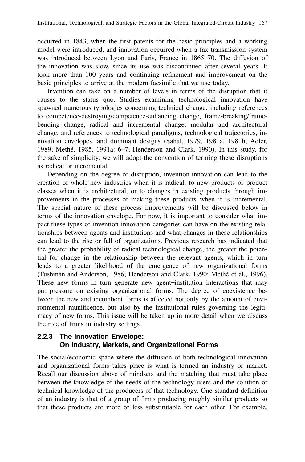occurred in 1843, when the first patents for the basic principles and a working model were introduced, and innovation occurred when a fax transmission system was introduced between Lyon and Paris, France in 1865―70. The diffusion of the innovation was slow, since its use was discontinued after several years. It took more than 100 years and continuing refinement and improvement on the basic principles to arrive at the modern facsimile that we use today.

Invention can take on a number of levels in terms of the disruption that it causes to the status quo. Studies examining technological innovation have spawned numerous typologies concerning technical change, including references to competence-destroying/competence-enhancing change, frame-breaking/framebending change, radical and incremental change, modular and architectural change, and references to technological paradigms, technological trajectories, innovation envelopes, and dominant designs (Sahal, 1979, 1981a, 1981b; Adler, 1989; Methé, 1985, 1991a: 6―7; Henderson and Clark, 1990). In this study, for the sake of simplicity, we will adopt the convention of terming these disruptions as radical or incremental.

Depending on the degree of disruption, invention-innovation can lead to the creation of whole new industries when it is radical, to new products or product classes when it is architectural, or to changes in existing products through improvements in the processes of making these products when it is incremental. The special nature of these process improvements will be discussed below in terms of the innovation envelope. For now, it is important to consider what impact these types of invention-innovation categories can have on the existing relationships between agents and institutions and what changes in these relationships can lead to the rise or fall of organizations. Previous research has indicated that the greater the probability of radical technological change, the greater the potential for change in the relationship between the relevant agents, which in turn leads to a greater likelihood of the emergence of new organizational forms (Tushman and Anderson, 1986; Henderson and Clark, 1990; Methé et al., 1996). These new forms in turn generate new agent-institution interactions that may put pressure on existing organizational forms. The degree of coexistence between the new and incumbent forms is affected not only by the amount of environmental munificence, but also by the institutional rules governing the legitimacy of new forms. This issue will be taken up in more detail when we discuss the role of firms in industry settings.

#### **2.2.3 The Innovation Envelope: On Industry, Markets, and Organizational Forms**

The social/economic space where the diffusion of both technological innovation and organizational forms takes place is what is termed an industry or market. Recall our discussion above of mindsets and the matching that must take place between the knowledge of the needs of the technology users and the solution or technical knowledge of the producers of that technology. One standard definition of an industry is that of a group of firms producing roughly similar products so that these products are more or less substitutable for each other. For example,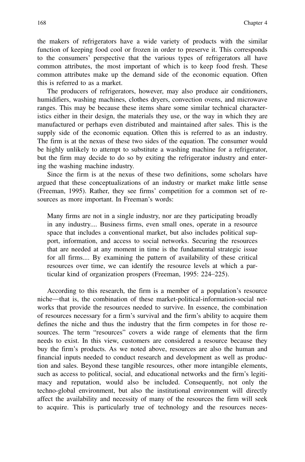the makers of refrigerators have a wide variety of products with the similar function of keeping food cool or frozen in order to preserve it. This corresponds to the consumers' perspective that the various types of refrigerators all have common attributes, the most important of which is to keep food fresh. These common attributes make up the demand side of the economic equation. Often this is referred to as a market.

The producers of refrigerators, however, may also produce air conditioners, humidifiers, washing machines, clothes dryers, convection ovens, and microwave ranges. This may be because these items share some similar technical characteristics either in their design, the materials they use, or the way in which they are manufactured or perhaps even distributed and maintained after sales. This is the supply side of the economic equation. Often this is referred to as an industry. The firm is at the nexus of these two sides of the equation. The consumer would be highly unlikely to attempt to substitute a washing machine for a refrigerator, but the firm may decide to do so by exiting the refrigerator industry and entering the washing machine industry.

Since the firm is at the nexus of these two definitions, some scholars have argued that these conceptualizations of an industry or market make little sense (Freeman, 1995). Rather, they see firms' competition for a common set of resources as more important. In Freeman's words:

Many firms are not in a single industry, nor are they participating broadly in any industry.... Business firms, even small ones, operate in a resource space that includes a conventional market, but also includes political support, information, and access to social networks. Securing the resources that are needed at any moment in time is the fundamental strategic issue for all firms.... By examining the pattern of availability of these critical resources over time, we can identify the resource levels at which a particular kind of organization prospers (Freeman, 1995: 224―225).

According to this research, the firm is a member of a population's resource niche―that is, the combination of these market-political-information-social networks that provide the resources needed to survive. In essence, the combination of resources necessary for a firm's survival and the firm's ability to acquire them defines the niche and thus the industry that the firm competes in for those resources. The term "resources" covers a wide range of elements that the firm needs to exist. In this view, customers are considered a resource because they buy the firm's products. As we noted above, resources are also the human and financial inputs needed to conduct research and development as well as production and sales. Beyond these tangible resources, other more intangible elements, such as access to political, social, and educational networks and the firm's legitimacy and reputation, would also be included. Consequently, not only the techno-global environment, but also the institutional environment will directly affect the availability and necessity of many of the resources the firm will seek to acquire. This is particularly true of technology and the resources neces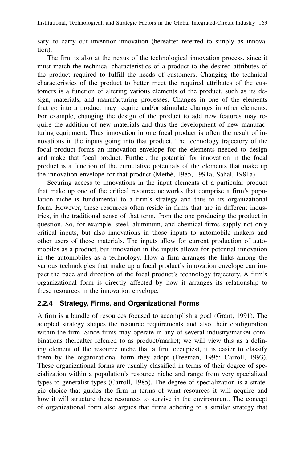sary to carry out invention-innovation (hereafter referred to simply as innovation).

The firm is also at the nexus of the technological innovation process, since it must match the technical characteristics of a product to the desired attributes of the product required to fulfill the needs of customers. Changing the technical characteristics of the product to better meet the required attributes of the customers is a function of altering various elements of the product, such as its design, materials, and manufacturing processes. Changes in one of the elements that go into a product may require and/or stimulate changes in other elements. For example, changing the design of the product to add new features may require the addition of new materials and thus the development of new manufacturing equipment. Thus innovation in one focal product is often the result of innovations in the inputs going into that product. The technology trajectory of the focal product forms an innovation envelope for the elements needed to design and make that focal product. Further, the potential for innovation in the focal product is a function of the cumulative potentials of the elements that make up the innovation envelope for that product (Methé, 1985, 1991a; Sahal, 1981a).

Securing access to innovations in the input elements of a particular product that make up one of the critical resource networks that comprise a firm's population niche is fundamental to a firm's strategy and thus to its organizational form. However, these resources often reside in firms that are in different industries, in the traditional sense of that term, from the one producing the product in question. So, for example, steel, aluminum, and chemical firms supply not only critical inputs, but also innovations in those inputs to automobile makers and other users of those materials. The inputs allow for current production of automobiles as a product, but innovation in the inputs allows for potential innovation in the automobiles as a technology. How a firm arranges the links among the various technologies that make up a focal product's innovation envelope can impact the pace and direction of the focal product's technology trajectory. A firm's organizational form is directly affected by how it arranges its relationship to these resources in the innovation envelope.

#### **2.2.4 Strategy, Firms, and Organizational Forms**

A firm is a bundle of resources focused to accomplish a goal (Grant, 1991). The adopted strategy shapes the resource requirements and also their configuration within the firm. Since firms may operate in any of several industry/market combinations (hereafter referred to as product/market; we will view this as a defining element of the resource niche that a firm occupies), it is easier to classify them by the organizational form they adopt (Freeman, 1995; Carroll, 1993). These organizational forms are usually classified in terms of their degree of specialization within a population's resource niche and range from very specialized types to generalist types (Carroll, 1985). The degree of specialization is a strategic choice that guides the firm in terms of what resources it will acquire and how it will structure these resources to survive in the environment. The concept of organizational form also argues that firms adhering to a similar strategy that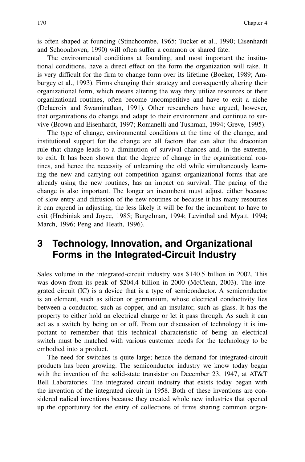is often shaped at founding (Stinchcombe, 1965; Tucker et al., 1990; Eisenhardt and Schoonhoven, 1990) will often suffer a common or shared fate.

The environmental conditions at founding, and most important the institutional conditions, have a direct effect on the form the organization will take. It is very difficult for the firm to change form over its lifetime (Boeker, 1989; Amburgey et al., 1993). Firms changing their strategy and consequently altering their organizational form, which means altering the way they utilize resources or their organizational routines, often become uncompetitive and have to exit a niche (Delacroix and Swaminathan, 1991). Other researchers have argued, however, that organizations do change and adapt to their environment and continue to survive (Brown and Eisenhardt, 1997; Romanelli and Tushman, 1994; Greve, 1995).

The type of change, environmental conditions at the time of the change, and institutional support for the change are all factors that can alter the draconian rule that change leads to a diminution of survival chances and, in the extreme, to exit. It has been shown that the degree of change in the organizational routines, and hence the necessity of unlearning the old while simultaneously learning the new and carrying out competition against organizational forms that are already using the new routines, has an impact on survival. The pacing of the change is also important. The longer an incumbent must adjust, either because of slow entry and diffusion of the new routines or because it has many resources it can expend in adjusting, the less likely it will be for the incumbent to have to exit (Hrebiniak and Joyce, 1985; Burgelman, 1994; Levinthal and Myatt, 1994; March, 1996; Peng and Heath, 1996).

## **3 Technology, Innovation, and Organizational Forms in the Integrated-Circuit Industry**

Sales volume in the integrated-circuit industry was \$140.5 billion in 2002. This was down from its peak of \$204.4 billion in 2000 (McClean, 2003). The integrated circuit (IC) is a device that is a type of semiconductor. A semiconductor is an element, such as silicon or germanium, whose electrical conductivity lies between a conductor, such as copper, and an insulator, such as glass. It has the property to either hold an electrical charge or let it pass through. As such it can act as a switch by being on or off. From our discussion of technology it is important to remember that this technical characteristic of being an electrical switch must be matched with various customer needs for the technology to be embodied into a product.

The need for switches is quite large; hence the demand for integrated-circuit products has been growing. The semiconductor industry we know today began with the invention of the solid-state transistor on December 23, 1947, at AT&T Bell Laboratories. The integrated circuit industry that exists today began with the invention of the integrated circuit in 1958. Both of these inventions are considered radical inventions because they created whole new industries that opened up the opportunity for the entry of collections of firms sharing common organ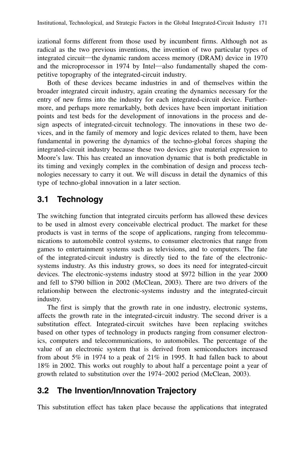izational forms different from those used by incumbent firms. Although not as radical as the two previous inventions, the invention of two particular types of integrated circuit—the dynamic random access memory (DRAM) device in 1970 and the microprocessor in 1974 by Intel―also fundamentally shaped the competitive topography of the integrated-circuit industry.

Both of these devices became industries in and of themselves within the broader integrated circuit industry, again creating the dynamics necessary for the entry of new firms into the industry for each integrated-circuit device. Furthermore, and perhaps more remarkably, both devices have been important initiation points and test beds for the development of innovations in the process and design aspects of integrated-circuit technology. The innovations in these two devices, and in the family of memory and logic devices related to them, have been fundamental in powering the dynamics of the techno-global forces shaping the integrated-circuit industry because these two devices give material expression to Moore's law. This has created an innovation dynamic that is both predictable in its timing and vexingly complex in the combination of design and process technologies necessary to carry it out. We will discuss in detail the dynamics of this type of techno-global innovation in a later section.

## **3.1 Technology**

The switching function that integrated circuits perform has allowed these devices to be used in almost every conceivable electrical product. The market for these products is vast in terms of the scope of applications, ranging from telecommunications to automobile control systems, to consumer electronics that range from games to entertainment systems such as televisions, and to computers. The fate of the integrated-circuit industry is directly tied to the fate of the electronicsystems industry. As this industry grows, so does its need for integrated-circuit devices. The electronic-systems industry stood at \$972 billion in the year 2000 and fell to \$790 billion in 2002 (McClean, 2003). There are two drivers of the relationship between the electronic-systems industry and the integrated-circuit industry.

The first is simply that the growth rate in one industry, electronic systems, affects the growth rate in the integrated-circuit industry. The second driver is a substitution effect. Integrated-circuit switches have been replacing switches based on other types of technology in products ranging from consumer electronics, computers and telecommunications, to automobiles. The percentage of the value of an electronic system that is derived from semiconductors increased from about 5% in 1974 to a peak of 21% in 1995. It had fallen back to about 18% in 2002. This works out roughly to about half a percentage point a year of growth related to substitution over the 1974―2002 period (McClean, 2003).

## **3.2 The Invention/Innovation Trajectory**

This substitution effect has taken place because the applications that integrated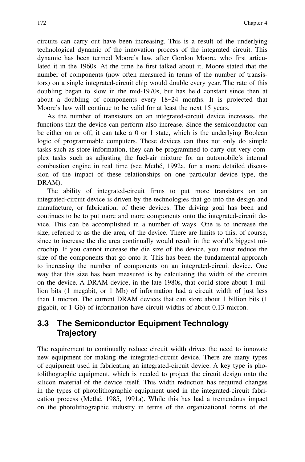circuits can carry out have been increasing. This is a result of the underlying technological dynamic of the innovation process of the integrated circuit. This dynamic has been termed Moore's law, after Gordon Moore, who first articulated it in the 1960s. At the time he first talked about it, Moore stated that the number of components (now often measured in terms of the number of transistors) on a single integrated-circuit chip would double every year. The rate of this doubling began to slow in the mid-1970s, but has held constant since then at about a doubling of components every 18―24 months. It is projected that Moore's law will continue to be valid for at least the next 15 years.

As the number of transistors on an integrated-circuit device increases, the functions that the device can perform also increase. Since the semiconductor can be either on or off, it can take a 0 or 1 state, which is the underlying Boolean logic of programmable computers. These devices can thus not only do simple tasks such as store information, they can be programmed to carry out very complex tasks such as adjusting the fuel-air mixture for an automobile's internal combustion engine in real time (see Methé, 1992a, for a more detailed discussion of the impact of these relationships on one particular device type, the DRAM).

The ability of integrated-circuit firms to put more transistors on an integrated-circuit device is driven by the technologies that go into the design and manufacture, or fabrication, of these devices. The driving goal has been and continues to be to put more and more components onto the integrated-circuit device. This can be accomplished in a number of ways. One is to increase the size, referred to as the die area, of the device. There are limits to this, of course, since to increase the die area continually would result in the world's biggest microchip. If you cannot increase the die size of the device, you must reduce the size of the components that go onto it. This has been the fundamental approach to increasing the number of components on an integrated-circuit device. One way that this size has been measured is by calculating the width of the circuits on the device. A DRAM device, in the late 1980s, that could store about 1 million bits (1 megabit, or 1 Mb) of information had a circuit width of just less than 1 micron. The current DRAM devices that can store about 1 billion bits (1 gigabit, or 1 Gb) of information have circuit widths of about 0.13 micron.

### **3.3 The Semiconductor Equipment Technology Trajectory**

The requirement to continually reduce circuit width drives the need to innovate new equipment for making the integrated-circuit device. There are many types of equipment used in fabricating an integrated-circuit device. A key type is photolithographic equipment, which is needed to project the circuit design onto the silicon material of the device itself. This width reduction has required changes in the types of photolithographic equipment used in the integrated-circuit fabrication process (Methé, 1985, 1991a). While this has had a tremendous impact on the photolithographic industry in terms of the organizational forms of the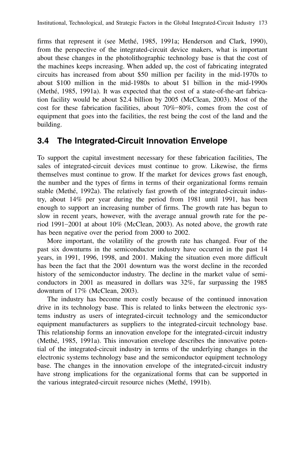firms that represent it (see Methé, 1985, 1991a; Henderson and Clark, 1990), from the perspective of the integrated-circuit device makers, what is important about these changes in the photolithographic technology base is that the cost of the machines keeps increasing. When added up, the cost of fabricating integrated circuits has increased from about \$50 million per facility in the mid-1970s to about \$100 million in the mid-1980s to about \$1 billion in the mid-1990s (Methé, 1985, 1991a). It was expected that the cost of a state-of-the-art fabrication facility would be about \$2.4 billion by 2005 (McClean, 2003). Most of the cost for these fabrication facilities, about 70%―80%, comes from the cost of equipment that goes into the facilities, the rest being the cost of the land and the building.

### **3.4 The Integrated-Circuit Innovation Envelope**

To support the capital investment necessary for these fabrication facilities, The sales of integrated-circuit devices must continue to grow. Likewise, the firms themselves must continue to grow. If the market for devices grows fast enough, the number and the types of firms in terms of their organizational forms remain stable (Methé, 1992a). The relatively fast growth of the integrated-circuit industry, about 14% per year during the period from 1981 until 1991, has been enough to support an increasing number of firms. The growth rate has begun to slow in recent years, however, with the average annual growth rate for the period 1991―2001 at about 10% (McClean, 2003). As noted above, the growth rate has been negative over the period from 2000 to 2002.

More important, the volatility of the growth rate has changed. Four of the past six downturns in the semiconductor industry have occurred in the past 14 years, in 1991, 1996, 1998, and 2001. Making the situation even more difficult has been the fact that the 2001 downturn was the worst decline in the recorded history of the semiconductor industry. The decline in the market value of semiconductors in 2001 as measured in dollars was 32%, far surpassing the 1985 downturn of 17% (McClean, 2003).

The industry has become more costly because of the continued innovation drive in its technology base. This is related to links between the electronic systems industry as users of integrated-circuit technology and the semiconductor equipment manufacturers as suppliers to the integrated-circuit technology base. This relationship forms an innovation envelope for the integrated-circuit industry (Methé, 1985, 1991a). This innovation envelope describes the innovative potential of the integrated-circuit industry in terms of the underlying changes in the electronic systems technology base and the semiconductor equipment technology base. The changes in the innovation envelope of the integrated-circuit industry have strong implications for the organizational forms that can be supported in the various integrated-circuit resource niches (Methé, 1991b).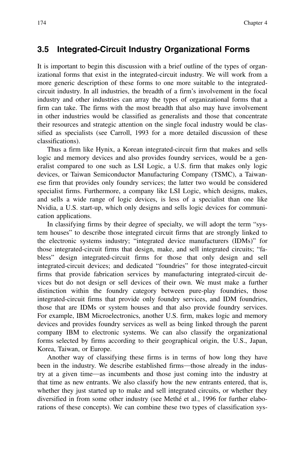#### **3.5 Integrated-Circuit Industry Organizational Forms**

It is important to begin this discussion with a brief outline of the types of organizational forms that exist in the integrated-circuit industry. We will work from a more generic description of these forms to one more suitable to the integratedcircuit industry. In all industries, the breadth of a firm's involvement in the focal industry and other industries can array the types of organizational forms that a firm can take. The firms with the most breadth that also may have involvement in other industries would be classified as generalists and those that concentrate their resources and strategic attention on the single focal industry would be classified as specialists (see Carroll, 1993 for a more detailed discussion of these classifications).

Thus a firm like Hynix, a Korean integrated-circuit firm that makes and sells logic and memory devices and also provides foundry services, would be a generalist compared to one such as LSI Logic, a U.S. firm that makes only logic devices, or Taiwan Semiconductor Manufacturing Company (TSMC), a Taiwanese firm that provides only foundry services; the latter two would be considered specialist firms. Furthermore, a company like LSI Logic, which designs, makes, and sells a wide range of logic devices, is less of a specialist than one like Nvidia, a U.S. start-up, which only designs and sells logic devices for communication applications.

In classifying firms by their degree of specialty, we will adopt the term "system houses" to describe those integrated circuit firms that are strongly linked to the electronic systems industry; "integrated device manufacturers (IDMs)" for those integrated-circuit firms that design, make, and sell integrated circuits; "fabless" design integrated-circuit firms for those that only design and sell integrated-circuit devices; and dedicated "foundries" for those integrated-circuit firms that provide fabrication services by manufacturing integrated-circuit devices but do not design or sell devices of their own. We must make a further distinction within the foundry category between pure-play foundries, those integrated-circuit firms that provide only foundry services, and IDM foundries, those that are IDMs or system houses and that also provide foundry services. For example, IBM Microelectronics, another U.S. firm, makes logic and memory devices and provides foundry services as well as being linked through the parent company IBM to electronic systems. We can also classify the organizational forms selected by firms according to their geographical origin, the U.S., Japan, Korea, Taiwan, or Europe.

Another way of classifying these firms is in terms of how long they have been in the industry. We describe established firms―those already in the industry at a given time―as incumbents and those just coming into the industry at that time as new entrants. We also classify how the new entrants entered, that is, whether they just started up to make and sell integrated circuits, or whether they diversified in from some other industry (see Methé et al., 1996 for further elaborations of these concepts). We can combine these two types of classification sys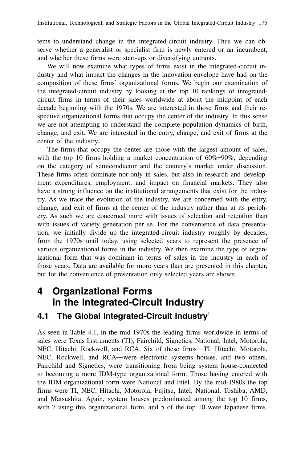tems to understand change in the integrated-circuit industry. Thus we can observe whether a generalist or specialist firm is newly entered or an incumbent, and whether these firms were start-ups or diversifying entrants.

We will now examine what types of firms exist in the integrated-circuit industry and what impact the changes in the innovation envelope have had on the composition of these firms' organizational forms. We begin our examination of the integrated-circuit industry by looking at the top 10 rankings of integratedcircuit firms in terms of their sales worldwide at about the midpoint of each decade beginning with the 1970s. We are interested in those firms and their respective organizational forms that occupy the center of the industry. In this sense we are not attempting to understand the complete population dynamics of birth, change, and exit. We are interested in the entry, change, and exit of firms at the center of the industry.

The firms that occupy the center are those with the largest amount of sales, with the top 10 firms holding a market concentration of 60%–90%, depending on the category of semiconductor and the country's market under discussion. These firms often dominate not only in sales, but also in research and development expenditures, employment, and impact on financial markets. They also have a strong influence on the institutional arrangements that exist for the industry. As we trace the evolution of the industry, we are concerned with the entry, change, and exit of firms at the center of the industry rather than at its periphery. As such we are concerned more with issues of selection and retention than with issues of variety generation per se. For the convenience of data presentation, we initially divide up the integrated-circuit industry roughly by decades, from the 1970s until today, using selected years to represent the presence of various organizational forms in the industry. We then examine the type of organizational form that was dominant in terms of sales in the industry in each of those years. Data are available for more years than are presented in this chapter, but for the convenience of presentation only selected years are shown.

## **4 Organizational Forms in the Integrated-Circuit Industry**

## **4.1 The Global Integrated-Circuit Industry<sup>2</sup>**

As seen in Table 4.1, in the mid-1970s the leading firms worldwide in terms of sales were Texas Instruments (TI), Fairchild, Signetics, National, Intel, Motorola, NEC, Hitachi, Rockwell, and RCA. Six of these firms―TI, Hitachi, Motorola, NEC, Rockwell, and RCA―were electronic systems houses, and two others, Fairchild and Signetics, were transitioning from being system house-connected to becoming a more IDM-type organizational form. Those having entered with the IDM organizational form were National and Intel. By the mid-1980s the top firms were TI, NEC, Hitachi, Motorola, Fujitsu, Intel, National, Toshiba, AMD, and Matsushita. Again, system houses predominated among the top 10 firms, with 7 using this organizational form, and 5 of the top 10 were Japanese firms.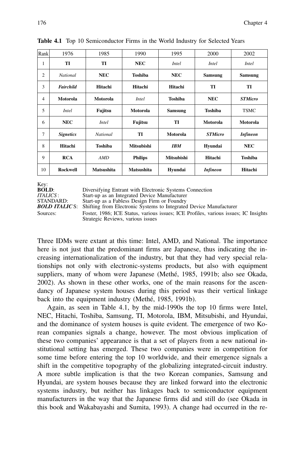| Rank | 1976             | 1985              | 1990              | 1995              | 2000            | 2002            |
|------|------------------|-------------------|-------------------|-------------------|-----------------|-----------------|
| 1    | TI               | TI                | <b>NEC</b>        | Intel             | Intel           | Intel           |
| 2    | <b>National</b>  | <b>NEC</b>        | Toshiba           | <b>NEC</b>        | <b>Samsung</b>  | <b>Samsung</b>  |
| 3    | <b>Fairchild</b> | Hitachi           | Hitachi           | Hitachi           | ТI              | TI              |
| 4    | Motorola         | Motorola          | Intel             | Toshiba           | <b>NEC</b>      | <b>STMicro</b>  |
| 5    | <i>Intel</i>     | Fujitsu           | Motorola          | <b>Samsung</b>    | Toshiba         | <b>TSMC</b>     |
| 6    | <b>NEC</b>       | <i>Intel</i>      | Fujitsu           | TI                | Motorola        | Motorola        |
| 7    | <b>Signetics</b> | <b>National</b>   | TI                | Motorola          | <b>STMicro</b>  | <b>Infineon</b> |
| 8    | Hitachi          | Toshiba           | <b>Mitsubishi</b> | <b>IBM</b>        | Hyundai         | <b>NEC</b>      |
| 9    | <b>RCA</b>       | AMD               | <b>Philips</b>    | <b>Mitsubishi</b> | Hitachi         | Toshiba         |
| 10   | <b>Rockwell</b>  | <b>Matsushita</b> | <b>Matsushita</b> | Hyundai           | <b>Infineon</b> | Hitachi         |

**Table 4.1** Top 10 Semiconductor Firms in the World Industry for Selected Years

Key:<br>**BOLD**:

**BOLD:** Diversifying Entrant with Electronic Systems Connection *ITALICS*: Start-up as an Integrated Device Manufacturer

*ITALICS* : Start-up as an Integrated Device Manufacturer<br>**STANDARD**: Start-up as a Fabless Design Firm or Foundry Start-up as a Fabless Design Firm or Foundry

**BOLD ITALIC**S: Shifting from Electronic Systems to Integrated Device Manufacturer

Sources: Foster, 1986; ICE Status, various issues; ICE Profiles, various issues; IC Insights Strategic Reviews, various issues

Three IDMs were extant at this time: Intel, AMD, and National. The importance here is not just that the predominant firms are Japanese, thus indicating the increasing internationalization of the industry, but that they had very special relationships not only with electronic-systems products, but also with equipment suppliers, many of whom were Japanese (Methé, 1985, 1991b; also see Okada, 2002). As shown in these other works, one of the main reasons for the ascendancy of Japanese system houses during this period was their vertical linkage back into the equipment industry (Methé, 1985, 1991b).

Again, as seen in Table 4.1, by the mid-1990s the top 10 firms were Intel, NEC, Hitachi, Toshiba, Samsung, TI, Motorola, IBM, Mitsubishi, and Hyundai, and the dominance of system houses is quite evident. The emergence of two Korean companies signals a change, however. The most obvious implication of these two companies' appearance is that a set of players from a new national institutional setting has emerged. These two companies were in competition for some time before entering the top 10 worldwide, and their emergence signals a shift in the competitive topography of the globalizing integrated-circuit industry. A more subtle implication is that the two Korean companies, Samsung and Hyundai, are system houses because they are linked forward into the electronic systems industry, but neither has linkages back to semiconductor equipment manufacturers in the way that the Japanese firms did and still do (see Okada in this book and Wakabayashi and Sumita, 1993). A change had occurred in the re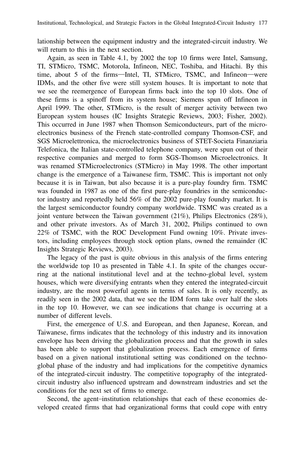lationship between the equipment industry and the integrated-circuit industry. We will return to this in the next section.

Again, as seen in Table 4.1, by 2002 the top 10 firms were Intel, Samsung, TI, STMicro, TSMC, Motorola, Infineon, NEC, Toshiba, and Hitachi. By this time, about 5 of the firms―Intel, TI, STMicro, TSMC, and Infineon―were IDMs, and the other five were still system houses. It is important to note that we see the reemergence of European firms back into the top 10 slots. One of these firms is a spinoff from its system house; Siemens spun off Infineon in April 1999. The other, STMicro, is the result of merger activity between two European system houses (IC Insights Strategic Reviews, 2003; Fisher, 2002). This occurred in June 1987 when Thomson Semiconducteurs, part of the microelectronics business of the French state-controlled company Thomson-CSF, and SGS Microelettronica, the microelectronics business of STET-Societa Finanziaria Telefonica, the Italian state-controlled telephone company, were spun out of their respective companies and merged to form SGS-Thomson Microelectronics. It was renamed STMicroelectronics (STMicro) in May 1998. The other important change is the emergence of a Taiwanese firm, TSMC. This is important not only because it is in Taiwan, but also because it is a pure-play foundry firm. TSMC was founded in 1987 as one of the first pure-play foundries in the semiconductor industry and reportedly held 56% of the 2002 pure-play foundry market. It is the largest semiconductor foundry company worldwide. TSMC was created as a joint venture between the Taiwan government (21%), Philips Electronics (28%), and other private investors. As of March 31, 2002, Philips continued to own 22% of TSMC, with the ROC Development Fund owning 10%. Private investors, including employees through stock option plans, owned the remainder (IC Insights Strategic Reviews, 2003).

The legacy of the past is quite obvious in this analysis of the firms entering the worldwide top 10 as presented in Table 4.1. In spite of the changes occurring at the national institutional level and at the techno-global level, system houses, which were diversifying entrants when they entered the integrated-circuit industry, are the most powerful agents in terms of sales. It is only recently, as readily seen in the 2002 data, that we see the IDM form take over half the slots in the top 10. However, we can see indications that change is occurring at a number of different levels.

First, the emergence of U.S. and European, and then Japanese, Korean, and Taiwanese, firms indicates that the technology of this industry and its innovation envelope has been driving the globalization process and that the growth in sales has been able to support that globalization process. Each emergence of firms based on a given national institutional setting was conditioned on the technoglobal phase of the industry and had implications for the competitive dynamics of the integrated-circuit industry. The competitive topography of the integratedcircuit industry also influenced upstream and downstream industries and set the conditions for the next set of firms to emerge.

Second, the agent-institution relationships that each of these economies developed created firms that had organizational forms that could cope with entry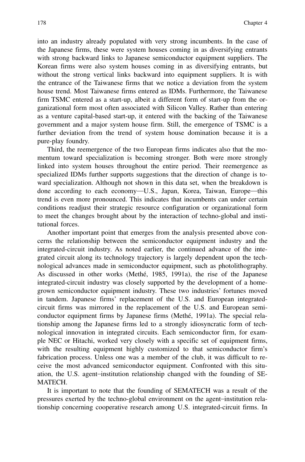into an industry already populated with very strong incumbents. In the case of the Japanese firms, these were system houses coming in as diversifying entrants with strong backward links to Japanese semiconductor equipment suppliers. The Korean firms were also system houses coming in as diversifying entrants, but without the strong vertical links backward into equipment suppliers. It is with the entrance of the Taiwanese firms that we notice a deviation from the system house trend. Most Taiwanese firms entered as IDMs. Furthermore, the Taiwanese firm TSMC entered as a start-up, albeit a different form of start-up from the organizational form most often associated with Silicon Valley. Rather than entering as a venture capital-based start-up, it entered with the backing of the Taiwanese government and a major system house firm. Still, the emergence of TSMC is a further deviation from the trend of system house domination because it is a pure-play foundry.

Third, the reemergence of the two European firms indicates also that the momentum toward specialization is becoming stronger. Both were more strongly linked into system houses throughout the entire period. Their reemergence as specialized IDMs further supports suggestions that the direction of change is toward specialization. Although not shown in this data set, when the breakdown is done according to each economy―U.S., Japan, Korea, Taiwan, Europe―this trend is even more pronounced. This indicates that incumbents can under certain conditions readjust their strategic resource configuration or organizational form to meet the changes brought about by the interaction of techno-global and institutional forces.

Another important point that emerges from the analysis presented above concerns the relationship between the semiconductor equipment industry and the integrated-circuit industry. As noted earlier, the continued advance of the integrated circuit along its technology trajectory is largely dependent upon the technological advances made in semiconductor equipment, such as photolithography. As discussed in other works (Methé, 1985, 1991a), the rise of the Japanese integrated-circuit industry was closely supported by the development of a homegrown semiconductor equipment industry. These two industries' fortunes moved in tandem. Japanese firms' replacement of the U.S. and European integratedcircuit firms was mirrored in the replacement of the U.S. and European semiconductor equipment firms by Japanese firms (Methé, 1991a). The special relationship among the Japanese firms led to a strongly idiosyncratic form of technological innovation in integrated circuits. Each semiconductor firm, for example NEC or Hitachi, worked very closely with a specific set of equipment firms, with the resulting equipment highly customized to that semiconductor firm's fabrication process. Unless one was a member of the club, it was difficult to receive the most advanced semiconductor equipment. Confronted with this situation, the U.S. agent―institution relationship changed with the founding of SE-MATECH.

It is important to note that the founding of SEMATECH was a result of the pressures exerted by the techno-global environment on the agent―institution relationship concerning cooperative research among U.S. integrated-circuit firms. In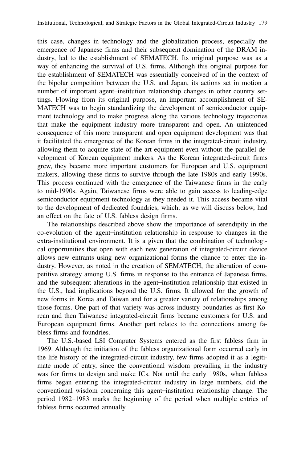this case, changes in technology and the globalization process, especially the emergence of Japanese firms and their subsequent domination of the DRAM industry, led to the establishment of SEMATECH. Its original purpose was as a way of enhancing the survival of U.S. firms. Although this original purpose for the establishment of SEMATECH was essentially conceived of in the context of the bipolar competition between the U.S. and Japan, its actions set in motion a number of important agent―institution relationship changes in other country settings. Flowing from its original purpose, an important accomplishment of SE-MATECH was to begin standardizing the development of semiconductor equipment technology and to make progress along the various technology trajectories that make the equipment industry more transparent and open. An unintended consequence of this more transparent and open equipment development was that it facilitated the emergence of the Korean firms in the integrated-circuit industry, allowing them to acquire state-of-the-art equipment even without the parallel development of Korean equipment makers. As the Korean integrated-circuit firms grew, they became more important customers for European and U.S. equipment makers, allowing these firms to survive through the late 1980s and early 1990s. This process continued with the emergence of the Taiwanese firms in the early to mid-1990s. Again, Taiwanese firms were able to gain access to leading-edge semiconductor equipment technology as they needed it. This access became vital to the development of dedicated foundries, which, as we will discuss below, had an effect on the fate of U.S. fabless design firms.

The relationships described above show the importance of serendipity in the co-evolution of the agent―institution relationship in response to changes in the extra-institutional environment. It is a given that the combination of technological opportunities that open with each new generation of integrated-circuit device allows new entrants using new organizational forms the chance to enter the industry. However, as noted in the creation of SEMATECH, the alteration of competitive strategy among U.S. firms in response to the entrance of Japanese firms, and the subsequent alterations in the agent―institution relationship that existed in the U.S., had implications beyond the U.S. firms. It allowed for the growth of new forms in Korea and Taiwan and for a greater variety of relationships among those forms. One part of that variety was across industry boundaries as first Korean and then Taiwanese integrated-circuit firms became customers for U.S. and European equipment firms. Another part relates to the connections among fabless firms and foundries.

The U.S.-based LSI Computer Systems entered as the first fabless firm in 1969. Although the initiation of the fabless organizational form occurred early in the life history of the integrated-circuit industry, few firms adopted it as a legitimate mode of entry, since the conventional wisdom prevailing in the industry was for firms to design and make ICs. Not until the early 1980s, when fabless firms began entering the integrated-circuit industry in large numbers, did the conventional wisdom concerning this agent―institution relationship change. The period 1982―1983 marks the beginning of the period when multiple entries of fabless firms occurred annually.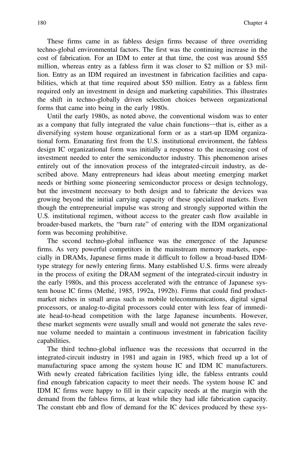These firms came in as fabless design firms because of three overriding techno-global environmental factors. The first was the continuing increase in the cost of fabrication. For an IDM to enter at that time, the cost was around \$55 million, whereas entry as a fabless firm it was closer to \$2 million or \$3 million. Entry as an IDM required an investment in fabrication facilities and capabilities, which at that time required about \$50 million. Entry as a fabless firm required only an investment in design and marketing capabilities. This illustrates the shift in techno-globally driven selection choices between organizational forms that came into being in the early 1980s.

Until the early 1980s, as noted above, the conventional wisdom was to enter as a company that fully integrated the value chain functions―that is, either as a diversifying system house organizational form or as a start-up IDM organizational form. Emanating first from the U.S. institutional environment, the fabless design IC organizational form was initially a response to the increasing cost of investment needed to enter the semiconductor industry. This phenomenon arises entirely out of the innovation process of the integrated-circuit industry, as described above. Many entrepreneurs had ideas about meeting emerging market needs or birthing some pioneering semiconductor process or design technology, but the investment necessary to both design and to fabricate the devices was growing beyond the initial carrying capacity of these specialized markets. Even though the entrepreneurial impulse was strong and strongly supported within the U.S. institutional regimen, without access to the greater cash flow available in broader-based markets, the "burn rate" of entering with the IDM organizational form was becoming prohibitive.

The second techno-global influence was the emergence of the Japanese firms. As very powerful competitors in the mainstream memory markets, especially in DRAMs, Japanese firms made it difficult to follow a broad-based IDMtype strategy for newly entering firms. Many established U.S. firms were already in the process of exiting the DRAM segment of the integrated-circuit industry in the early 1980s, and this process accelerated with the entrance of Japanese system house IC firms (Methé, 1985, 1992a, 1992b). Firms that could find productmarket niches in small areas such as mobile telecommunications, digital signal processors, or analog-to-digital processors could enter with less fear of immediate head-to-head competition with the large Japanese incumbents. However, these market segments were usually small and would not generate the sales revenue volume needed to maintain a continuous investment in fabrication facility capabilities.

The third techno-global influence was the recessions that occurred in the integrated-circuit industry in 1981 and again in 1985, which freed up a lot of manufacturing space among the system house IC and IDM IC manufacturers. With newly created fabrication facilities lying idle, the fabless entrants could find enough fabrication capacity to meet their needs. The system house IC and IDM IC firms were happy to fill in their capacity needs at the margin with the demand from the fabless firms, at least while they had idle fabrication capacity. The constant ebb and flow of demand for the IC devices produced by these sys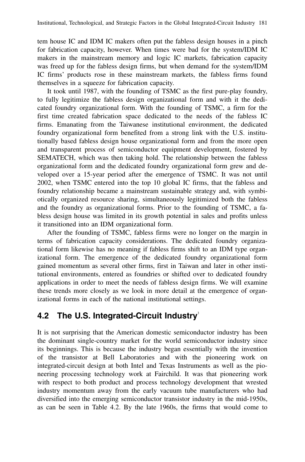tem house IC and IDM IC makers often put the fabless design houses in a pinch for fabrication capacity, however. When times were bad for the system/IDM IC makers in the mainstream memory and logic IC markets, fabrication capacity was freed up for the fabless design firms, but when demand for the system/IDM IC firms' products rose in these mainstream markets, the fabless firms found themselves in a squeeze for fabrication capacity.

It took until 1987, with the founding of TSMC as the first pure-play foundry, to fully legitimize the fabless design organizational form and with it the dedicated foundry organizational form. With the founding of TSMC, a firm for the first time created fabrication space dedicated to the needs of the fabless IC firms. Emanating from the Taiwanese institutional environment, the dedicated foundry organizational form benefited from a strong link with the U.S. institutionally based fabless design house organizational form and from the more open and transparent process of semiconductor equipment development, fostered by SEMATECH, which was then taking hold. The relationship between the fabless organizational form and the dedicated foundry organizational form grew and developed over a 15-year period after the emergence of TSMC. It was not until 2002, when TSMC entered into the top 10 global IC firms, that the fabless and foundry relationship became a mainstream sustainable strategy and, with symbiotically organized resource sharing, simultaneously legitimized both the fabless and the foundry as organizational forms. Prior to the founding of TSMC, a fabless design house was limited in its growth potential in sales and profits unless it transitioned into an IDM organizational form.

After the founding of TSMC, fabless firms were no longer on the margin in terms of fabrication capacity considerations. The dedicated foundry organizational form likewise has no meaning if fabless firms shift to an IDM type organizational form. The emergence of the dedicated foundry organizational form gained momentum as several other firms, first in Taiwan and later in other institutional environments, entered as foundries or shifted over to dedicated foundry applications in order to meet the needs of fabless design firms. We will examine these trends more closely as we look in more detail at the emergence of organizational forms in each of the national institutional settings.

### **4.2 The U.S. Integrated-Circuit Industry**<sup>3</sup>

It is not surprising that the American domestic semiconductor industry has been the dominant single-country market for the world semiconductor industry since its beginnings. This is because the industry began essentially with the invention of the transistor at Bell Laboratories and with the pioneering work on integrated-circuit design at both Intel and Texas Instruments as well as the pioneering processing technology work at Fairchild. It was that pioneering work with respect to both product and process technology development that wrested industry momentum away from the early vacuum tube manufacturers who had diversified into the emerging semiconductor transistor industry in the mid-1950s, as can be seen in Table 4.2. By the late 1960s, the firms that would come to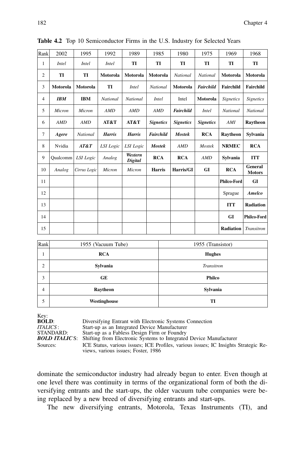| Rank           | 2002            | 1995         | 1992            | 1989               | 1985             | 1980             | 1975             | 1969               | 1968                            |
|----------------|-----------------|--------------|-----------------|--------------------|------------------|------------------|------------------|--------------------|---------------------------------|
| 1              | Intel           | Intel        | Intel           | TI                 | TI               | TI               | TI               | TI                 | TI                              |
| $\overline{c}$ | TI              | TI           | Motorola        | Motorola           | Motorola         | National         | <b>National</b>  | Motorola           | Motorola                        |
| 3              | Motorola        | Motorola     | TI              | Intel              | <b>National</b>  | Motorola         | <b>Fairchild</b> | Fairchild          | Fairchild                       |
| 4              | <b>IBM</b>      | <b>IBM</b>   | <b>National</b> | National           | Intel            | Intel            | Motorola         | <b>Signetics</b>   | <b>Signetics</b>                |
| 5              | Micron          | Micron       | AMD             | AMD                | AMD              | Fairchild        | Intel            | National           | <b>National</b>                 |
| 6              | AMD             | AMD          | AT&T            | AT&T               | <b>Signetics</b> | <b>Signetics</b> | <b>Signetics</b> | AMI                | Raytheon                        |
| 7              | Agere           | National     | <b>Harris</b>   | <b>Harris</b>      | <b>Fairchild</b> | <b>Mostek</b>    | <b>RCA</b>       | Raytheon           | Sylvania                        |
| 8              | Nvidia          | AT&T         | LSI Logic       | LSI Logic          | <b>Mostek</b>    | AMD              | Mostek           | <b>NRMEC</b>       | <b>RCA</b>                      |
| 9              | <b>Qualcomm</b> | LSI Logic    | Analog          | Western<br>Digital | <b>RCA</b>       | <b>RCA</b>       | AMD              | Sylvania           | <b>ITT</b>                      |
| 10             | Analog          | Cirrus Logic | Micron          | Micron             | <b>Harris</b>    | Harris/GI        | GI               | <b>RCA</b>         | <b>General</b><br><b>Motors</b> |
| 11             |                 |              |                 |                    |                  |                  |                  | <b>Philco-Ford</b> | GI                              |
| 12             |                 |              |                 |                    |                  |                  |                  | Sprague            | Amelco                          |
| 13             |                 |              |                 |                    |                  |                  |                  | <b>ITT</b>         | <b>Radiation</b>                |
| 14             |                 |              |                 |                    |                  |                  |                  | GI                 | <b>Philco-Ford</b>              |
| 15             |                 |              |                 |                    |                  |                  |                  | <b>Radiation</b>   | Transitron                      |

**Table 4.2** Top 10 Semiconductor Firms in the U.S. Industry for Selected Years

| Rank | 1955 (Vacuum Tube) | 1955 (Transistor) |
|------|--------------------|-------------------|
|      | <b>RCA</b>         | <b>Hughes</b>     |
| 2    | Sylvania           | Transitron        |
| 3    | GE                 | Philco            |
| 4    | Raytheon           | Sylvania          |
| 5    | Westinghouse       | TI                |

Key:<br>**BOLD**:

**BOLD:** Diversifying Entrant with Electronic Systems Connection *ITALICS*: Start-up as an Integrated Device Manufacturer Start-up as an Integrated Device Manufacturer STANDARD: Start-up as a Fabless Design Firm or Foundry<br>**BOLD ITALIC**S: Shifting from Electronic Systems to Integrated Device Manufacturer

Sources: ICE Status, various issues; ICE Profiles, various issues; IC Insights Strategic Reviews, various issues; Foster, 1986

dominate the semiconductor industry had already begun to enter. Even though at one level there was continuity in terms of the organizational form of both the diversifying entrants and the start-ups, the older vacuum tube companies were being replaced by a new breed of diversifying entrants and start-ups.

The new diversifying entrants, Motorola, Texas Instruments (TI), and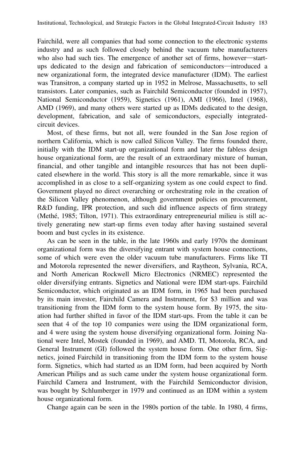Fairchild, were all companies that had some connection to the electronic systems industry and as such followed closely behind the vacuum tube manufacturers who also had such ties. The emergence of another set of firms, however—startups dedicated to the design and fabrication of semiconductors―introduced a new organizational form, the integrated device manufacturer (IDM). The earliest was Transitron, a company started up in 1952 in Melrose, Massachusetts, to sell transistors. Later companies, such as Fairchild Semiconductor (founded in 1957), National Semiconductor (1959), Signetics (1961), AMI (1966), Intel (1968), AMD (1969), and many others were started up as IDMs dedicated to the design, development, fabrication, and sale of semiconductors, especially integratedcircuit devices.

Most, of these firms, but not all, were founded in the San Jose region of northern California, which is now called Silicon Valley. The firms founded there, initially with the IDM start-up organizational form and later the fabless design house organizational form, are the result of an extraordinary mixture of human, financial, and other tangible and intangible resources that has not been duplicated elsewhere in the world. This story is all the more remarkable, since it was accomplished in as close to a self-organizing system as one could expect to find. Government played no direct overarching or orchestrating role in the creation of the Silicon Valley phenomenon, although government policies on procurement, R&D funding, IPR protection, and such did influence aspects of firm strategy (Methé, 1985; Tilton, 1971). This extraordinary entrepreneurial milieu is still actively generating new start-up firms even today after having sustained several boom and bust cycles in its existence.

As can be seen in the table, in the late 1960s and early 1970s the dominant organizational form was the diversifying entrant with system house connections, some of which were even the older vacuum tube manufacturers. Firms like TI and Motorola represented the newer diversifiers, and Raytheon, Sylvania, RCA, and North American Rockwell Micro Electronics (NRMEC) represented the older diversifying entrants. Signetics and National were IDM start-ups. Fairchild Semiconductor, which originated as an IDM form, in 1965 had been purchased by its main investor, Fairchild Camera and Instrument, for \$3 million and was transitioning from the IDM form to the system house form. By 1975, the situation had further shifted in favor of the IDM start-ups. From the table it can be seen that 4 of the top 10 companies were using the IDM organizational form, and 4 were using the system house diversifying organizational form. Joining National were Intel, Mostek (founded in 1969), and AMD. TI, Motorola, RCA, and General Instrument (GI) followed the system house form. One other firm, Signetics, joined Fairchild in transitioning from the IDM form to the system house form. Signetics, which had started as an IDM form, had been acquired by North American Philips and as such came under the system house organizational form. Fairchild Camera and Instrument, with the Fairchild Semiconductor division, was bought by Schlumberger in 1979 and continued as an IDM within a system house organizational form.

Change again can be seen in the 1980s portion of the table. In 1980, 4 firms,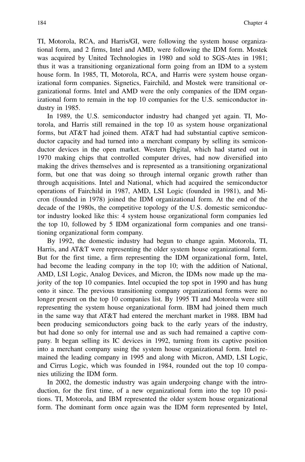TI, Motorola, RCA, and Harris/GI, were following the system house organizational form, and 2 firms, Intel and AMD, were following the IDM form. Mostek was acquired by United Technologies in 1980 and sold to SGS-Ates in 1981; thus it was a transitioning organizational form going from an IDM to a system house form. In 1985, TI, Motorola, RCA, and Harris were system house organizational form companies. Signetics, Fairchild, and Mostek were transitional organizational forms. Intel and AMD were the only companies of the IDM organizational form to remain in the top 10 companies for the U.S. semiconductor industry in 1985.

In 1989, the U.S. semiconductor industry had changed yet again. TI, Motorola, and Harris still remained in the top 10 as system house organizational forms, but AT&T had joined them. AT&T had had substantial captive semiconductor capacity and had turned into a merchant company by selling its semiconductor devices in the open market. Western Digital, which had started out in 1970 making chips that controlled computer drives, had now diversified into making the drives themselves and is represented as a transitioning organizational form, but one that was doing so through internal organic growth rather than through acquisitions. Intel and National, which had acquired the semiconductor operations of Fairchild in 1987, AMD, LSI Logic (founded in 1981), and Micron (founded in 1978) joined the IDM organizational form. At the end of the decade of the 1980s, the competitive topology of the U.S. domestic semiconductor industry looked like this: 4 system house organizational form companies led the top 10, followed by 5 IDM organizational form companies and one transitioning organizational form company.

By 1992, the domestic industry had begun to change again. Motorola, TI, Harris, and AT&T were representing the older system house organizational form. But for the first time, a firm representing the IDM organizational form, Intel, had become the leading company in the top 10; with the addition of National, AMD, LSI Logic, Analog Devices, and Micron, the IDMs now made up the majority of the top 10 companies. Intel occupied the top spot in 1990 and has hung onto it since. The previous transitioning company organizational forms were no longer present on the top 10 companies list. By 1995 TI and Motorola were still representing the system house organizational form. IBM had joined them much in the same way that AT&T had entered the merchant market in 1988. IBM had been producing semiconductors going back to the early years of the industry, but had done so only for internal use and as such had remained a captive company. It began selling its IC devices in 1992, turning from its captive position into a merchant company using the system house organizational form. Intel remained the leading company in 1995 and along with Micron, AMD, LSI Logic, and Cirrus Logic, which was founded in 1984, rounded out the top 10 companies utilizing the IDM form.

In 2002, the domestic industry was again undergoing change with the introduction, for the first time, of a new organizational form into the top 10 positions. TI, Motorola, and IBM represented the older system house organizational form. The dominant form once again was the IDM form represented by Intel,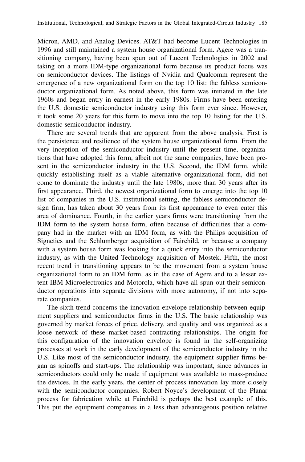Micron, AMD, and Analog Devices. AT&T had become Lucent Technologies in 1996 and still maintained a system house organizational form. Agere was a transitioning company, having been spun out of Lucent Technologies in 2002 and taking on a more IDM-type organizational form because its product focus was on semiconductor devices. The listings of Nvidia and Qualcomm represent the emergence of a new organizational form on the top 10 list: the fabless semiconductor organizational form. As noted above, this form was initiated in the late 1960s and began entry in earnest in the early 1980s. Firms have been entering the U.S. domestic semiconductor industry using this form ever since. However, it took some 20 years for this form to move into the top 10 listing for the U.S. domestic semiconductor industry.

There are several trends that are apparent from the above analysis. First is the persistence and resilience of the system house organizational form. From the very inception of the semiconductor industry until the present time, organizations that have adopted this form, albeit not the same companies, have been present in the semiconductor industry in the U.S. Second, the IDM form, while quickly establishing itself as a viable alternative organizational form, did not come to dominate the industry until the late 1980s, more than 30 years after its first appearance. Third, the newest organizational form to emerge into the top 10 list of companies in the U.S. institutional setting, the fabless semiconductor design firm, has taken about 30 years from its first appearance to even enter this area of dominance. Fourth, in the earlier years firms were transitioning from the IDM form to the system house form, often because of difficulties that a company had in the market with an IDM form, as with the Philips acquisition of Signetics and the Schlumberger acquisition of Fairchild, or because a company with a system house form was looking for a quick entry into the semiconductor industry, as with the United Technology acquisition of Mostek. Fifth, the most recent trend in transitioning appears to be the movement from a system house organizational form to an IDM form, as in the case of Agere and to a lesser extent IBM Microelectronics and Motorola, which have all spun out their semiconductor operations into separate divisions with more autonomy, if not into separate companies.

The sixth trend concerns the innovation envelope relationship between equipment suppliers and semiconductor firms in the U.S. The basic relationship was governed by market forces of price, delivery, and quality and was organized as a loose network of these market-based contracting relationships. The origin for this configuration of the innovation envelope is found in the self-organizing processes at work in the early development of the semiconductor industry in the U.S. Like most of the semiconductor industry, the equipment supplier firms began as spinoffs and start-ups. The relationship was important, since advances in semiconductors could only be made if equipment was available to mass-produce the devices. In the early years, the center of process innovation lay more closely with the semiconductor companies. Robert Noyce's development of the Planar process for fabrication while at Fairchild is perhaps the best example of this. This put the equipment companies in a less than advantageous position relative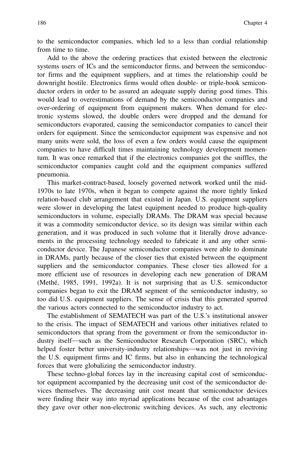to the semiconductor companies, which led to a less than cordial relationship from time to time.

Add to the above the ordering practices that existed between the electronic systems users of ICs and the semiconductor firms, and between the semiconductor firms and the equipment suppliers, and at times the relationship could be downright hostile. Electronics firms would often double- or triple-book semiconductor orders in order to be assured an adequate supply during good times. This would lead to overestimations of demand by the semiconductor companies and over-ordering of equipment from equipment makers. When demand for electronic systems slowed, the double orders were dropped and the demand for semiconductors evaporated, causing the semiconductor companies to cancel their orders for equipment. Since the semiconductor equipment was expensive and not many units were sold, the loss of even a few orders would cause the equipment companies to have difficult times maintaining technology development momentum. It was once remarked that if the electronics companies got the sniffles, the semiconductor companies caught cold and the equipment companies suffered pneumonia.

This market-contract-based, loosely governed network worked until the mid-1970s to late 1970s, when it began to compete against the more tightly linked relation-based club arrangement that existed in Japan. U.S. equipment suppliers were slower in developing the latest equipment needed to produce high-quality semiconductors in volume, especially DRAMs. The DRAM was special because it was a commodity semiconductor device, so its design was similar within each generation, and it was produced in such volume that it literally drove advancements in the processing technology needed to fabricate it and any other semiconductor device. The Japanese semiconductor companies were able to dominate in DRAMs, partly because of the closer ties that existed between the equipment suppliers and the semiconductor companies. These closer ties allowed for a more efficient use of resources in developing each new generation of DRAM (Methé, 1985, 1991, 1992a). It is not surprising that as U.S. semiconductor companies began to exit the DRAM segment of the semiconductor industry, so too did U.S. equipment suppliers. The sense of crisis that this generated spurred the various actors connected to the semiconductor industry to act.

The establishment of SEMATECH was part of the U.S.'s institutional answer to the crisis. The impact of SEMATECH and various other initiatives related to semiconductors that sprang from the government or from the semiconductor industry itself―such as the Semiconductor Research Corporation (SRC), which helped foster better university-industry relationships―was not just in reviving the U.S. equipment firms and IC firms, but also in enhancing the technological forces that were globalizing the semiconductor industry.

These techno-global forces lay in the increasing capital cost of semiconductor equipment accompanied by the decreasing unit cost of the semiconductor devices themselves. The decreasing unit cost meant that semiconductor devices were finding their way into myriad applications because of the cost advantages they gave over other non-electronic switching devices. As such, any electronic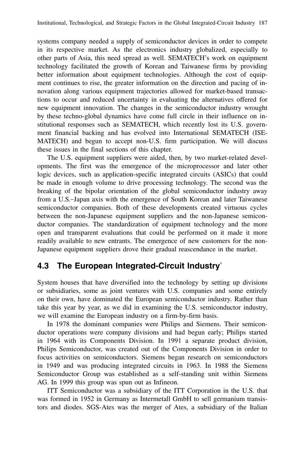systems company needed a supply of semiconductor devices in order to compete in its respective market. As the electronics industry globalized, especially to other parts of Asia, this need spread as well. SEMATECH's work on equipment technology facilitated the growth of Korean and Taiwanese firms by providing better information about equipment technologies. Although the cost of equipment continues to rise, the greater information on the direction and pacing of innovation along various equipment trajectories allowed for market-based transactions to occur and reduced uncertainty in evaluating the alternatives offered for new equipment innovation. The changes in the semiconductor industry wrought by these techno-global dynamics have come full circle in their influence on institutional responses such as SEMATECH, which recently lost its U.S. government financial backing and has evolved into International SEMATECH (ISE-MATECH) and begun to accept non-U.S. firm participation. We will discuss these issues in the final sections of this chapter.

The U.S. equipment suppliers were aided, then, by two market-related developments. The first was the emergence of the microprocessor and later other logic devices, such as application-specific integrated circuits (ASICs) that could be made in enough volume to drive processing technology. The second was the breaking of the bipolar orientation of the global semiconductor industry away from a U.S.―Japan axis with the emergence of South Korean and later Taiwanese semiconductor companies. Both of these developments created virtuous cycles between the non-Japanese equipment suppliers and the non-Japanese semiconductor companies. The standardization of equipment technology and the more open and transparent evaluations that could be performed on it made it more readily available to new entrants. The emergence of new customers for the non-Japanese equipment suppliers drove their gradual reascendance in the market.

### **4.3 The European Integrated-Circuit Industry**<sup>4</sup>

System houses that have diversified into the technology by setting up divisions or subsidiaries, some as joint ventures with U.S. companies and some entirely on their own, have dominated the European semiconductor industry. Rather than take this year by year, as we did in examining the U.S. semiconductor industry, we will examine the European industry on a firm-by-firm basis.

In 1978 the dominant companies were Philips and Siemens. Their semiconductor operations were company divisions and had begun early; Philips started in 1964 with its Components Division. In 1991 a separate product division, Philips Semiconductor, was created out of the Components Division in order to focus activities on semiconductors. Siemens began research on semiconductors in 1949 and was producing integrated circuits in 1963. In 1988 the Siemens Semiconductor Group was established as a self-standing unit within Siemens AG. In 1999 this group was spun out as Infineon.

ITT Semiconductor was a subsidiary of the ITT Corporation in the U.S. that was formed in 1952 in Germany as Intermetall GmbH to sell germanium transistors and diodes. SGS-Ates was the merger of Ates, a subsidiary of the Italian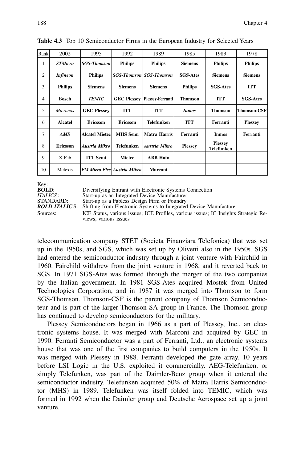| Rank           | 2002            | 1995                  | 1992                               | 1989                           | 1985            | 1983                                | 1978               |
|----------------|-----------------|-----------------------|------------------------------------|--------------------------------|-----------------|-------------------------------------|--------------------|
| 1              | <b>STMicro</b>  | <b>SGS-Thomson</b>    | <b>Philips</b>                     | <b>Philips</b>                 | <b>Siemens</b>  | <b>Philips</b>                      | <b>Philips</b>     |
| $\overline{2}$ | <b>Infineon</b> | <b>Philips</b>        |                                    | <b>SGS-Thomson SGS-Thomson</b> | <b>SGS-Ates</b> | <b>Siemens</b>                      | <b>Siemens</b>     |
| 3              | <b>Philips</b>  | <b>Siemens</b>        | <b>Siemens</b>                     | <b>Siemens</b>                 | <b>Philips</b>  | <b>SGS-Ates</b>                     | <b>ITT</b>         |
| $\overline{4}$ | <b>Bosch</b>    | <b>TEMIC</b>          | <b>GEC Plessey</b>                 | <b>Plessey-Ferranti</b>        | <b>Thomson</b>  | <b>ITT</b>                          | <b>SGS-Ates</b>    |
| 5              | <b>Micronas</b> | <b>GEC Plessey</b>    | <b>ITT</b>                         | <b>ITT</b>                     | <b>Inmos</b>    | <b>Thomson</b>                      | <b>Thomson-CSF</b> |
| 6              | Alcatel         | <b>Ericsson</b>       | <b>Ericsson</b>                    | <b>Telefunken</b>              | <b>ITT</b>      | Ferranti                            | <b>Plessey</b>     |
| 7              | AMS             | <b>Alcatel Mietec</b> | <b>MHS Semi</b>                    | <b>Matra Harris</b>            | Ferranti        | <b>Inmos</b>                        | Ferranti           |
| 8              | <b>Ericsson</b> | Austria Mikro         | Telefunken                         | Austria Mikro                  | <b>Plessey</b>  | <b>Plessey</b><br><b>Telefunken</b> |                    |
| 9              | X-Fab           | <b>ITT Semi</b>       | <b>Mietec</b>                      | <b>ABB Hafo</b>                |                 |                                     |                    |
| 10             | Melexis         |                       | <b>EM Micro Elec Austria Mikro</b> | <b>Marconi</b>                 |                 |                                     |                    |

**Table 4.3** Top 10 Semiconductor Firms in the European Industry for Selected Years

Key:<br>**BOLD**:

**BOLD:** Diversifying Entrant with Electronic Systems Connection *ITALICS*: Start-up as an Integrated Device Manufacturer *ITALICS* : Start-up as an Integrated Device Manufacturer<br> **STANDARD:** Start-up as a Fabless Design Firm or Foundry

Start-up as a Fabless Design Firm or Foundry

**BOLD ITALIC**S: Shifting from Electronic Systems to Integrated Device Manufacturer

Sources: ICE Status, various issues; ICE Profiles, various issues; IC Insights Strategic Reviews, various issues

telecommunication company STET (Societa Finanziara Telefonica) that was set up in the 1950s, and SGS, which was set up by Olivetti also in the 1950s. SGS had entered the semiconductor industry through a joint venture with Fairchild in 1960. Fairchild withdrew from the joint venture in 1968, and it reverted back to SGS. In 1971 SGS-Ates was formed through the merger of the two companies by the Italian government. In 1981 SGS-Ates acquired Mostek from United Technologies Corporation, and in 1987 it was merged into Thomson to form SGS-Thomson. Thomson-CSF is the parent company of Thomson Semiconducteur and is part of the larger Thomson SA group in France. The Thomson group has continued to develop semiconductors for the military.

Plessey Semiconductors began in 1966 as a part of Plessey, Inc., an electronic systems house. It was merged with Marconi and acquired by GEC in 1990. Ferranti Semiconductor was a part of Ferranti, Ltd., an electronic systems house that was one of the first companies to build computers in the 1950s. It was merged with Plessey in 1988. Ferranti developed the gate array, 10 years before LSI Logic in the U.S. exploited it commercially. AEG-Telefunken, or simply Telefunken, was part of the Daimler-Benz group when it entered the semiconductor industry. Telefunken acquired 50% of Matra Harris Semiconductor (MHS) in 1989. Telefunken was itself folded into TEMIC, which was formed in 1992 when the Daimler group and Deutsche Aerospace set up a joint venture.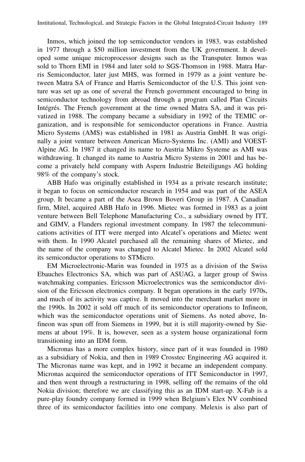Inmos, which joined the top semiconductor vendors in 1983, was established in 1977 through a \$50 million investment from the UK government. It developed some unique microprocessor designs such as the Transputer. Inmos was sold to Thorn EMI in 1984 and later sold to SGS-Thomson in 1988. Matra Harris Semiconductor, later just MHS, was formed in 1979 as a joint venture between Matra SA of France and Harris Semiconductor of the U.S. This joint venture was set up as one of several the French government encouraged to bring in semiconductor technology from abroad through a program called Plan Circuits Intégrés. The French government at the time owned Matra SA, and it was privatized in 1988. The company became a subsidiary in 1992 of the TEMIC organization, and is responsible for semiconductor operations in France. Austria Micro Systems (AMS) was established in 1981 as Austria GmbH. It was originally a joint venture between American Micro-Systems Inc. (AMI) and VOEST-Alpine AG. In 1987 it changed its name to Austria Mikro Systeme as AMI was withdrawing. It changed its name to Austria Micro Systems in 2001 and has become a privately held company with Aspern Industrie Beteiligungs AG holding 98% of the company's stock.

ABB Hafo was originally established in 1934 as a private research institute; it began to focus on semiconductor research in 1954 and was part of the ASEA group. It became a part of the Asea Brown Boveri Group in 1987. A Canadian firm, Mitel, acquired ABB Hafo in 1996. Mietec was formed in 1983 as a joint venture between Bell Telephone Manufacturing Co., a subsidiary owned by ITT, and GIMV, a Flanders regional investment company. In 1987 the telecommunications activities of ITT were merged into Alcatel's operations and Mietec went with them. In 1990 Alcatel purchased all the remaining shares of Mietec, and the name of the company was changed to Alcatel Mietec. In 2002 Alcatel sold its semiconductor operations to STMicro.

EM Microelectronic-Marin was founded in 1975 as a division of the Swiss Ebauches Electronics SA, which was part of ASUAG, a larger group of Swiss watchmaking companies. Ericsson Microelectronics was the semiconductor division of the Ericsson electronics company. It began operations in the early 1970s, and much of its activity was captive. It moved into the merchant market more in the 1990s. In 2002 it sold off much of its semiconductor operations to Infineon, which was the semiconductor operations unit of Siemens. As noted above, Infineon was spun off from Siemens in 1999, but it is still majority-owned by Siemens at about 19%. It is, however, seen as a system house organizational form transitioning into an IDM form.

Micronas has a more complex history, since part of it was founded in 1980 as a subsidiary of Nokia, and then in 1989 Crosstec Engineering AG acquired it. The Micronas name was kept, and in 1992 it became an independent company. Micronas acquired the semiconductor operations of ITT Semiconductor in 1997, and then went through a restructuring in 1998, selling off the remains of the old Nokia division; therefore we are classifying this as an IDM start-up. X-Fab is a pure-play foundry company formed in 1999 when Belgium's Elex NV combined three of its semiconductor facilities into one company. Melexis is also part of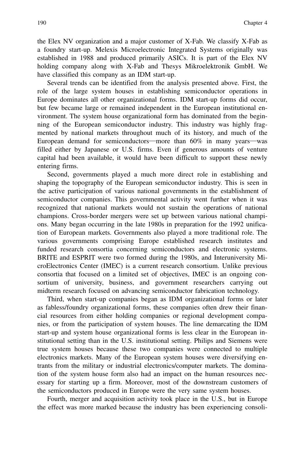the Elex NV organization and a major customer of X-Fab. We classify X-Fab as a foundry start-up. Melexis Microelectronic Integrated Systems originally was established in 1988 and produced primarily ASICs. It is part of the Elex NV holding company along with X-Fab and Thesys Mikroelektronik GmbH. We have classified this company as an IDM start-up.

Several trends can be identified from the analysis presented above. First, the role of the large system houses in establishing semiconductor operations in Europe dominates all other organizational forms. IDM start-up forms did occur, but few became large or remained independent in the European institutional environment. The system house organizational form has dominated from the beginning of the European semiconductor industry. This industry was highly fragmented by national markets throughout much of its history, and much of the European demand for semiconductors―more than 60% in many years―was filled either by Japanese or U.S. firms. Even if generous amounts of venture capital had been available, it would have been difficult to support these newly entering firms.

Second, governments played a much more direct role in establishing and shaping the topography of the European semiconductor industry. This is seen in the active participation of various national governments in the establishment of semiconductor companies. This governmental activity went further when it was recognized that national markets would not sustain the operations of national champions. Cross-border mergers were set up between various national champions. Many began occurring in the late 1980s in preparation for the 1992 unification of European markets. Governments also played a more traditional role. The various governments comprising Europe established research institutes and funded research consortia concerning semiconductors and electronic systems. BRITE and ESPRIT were two formed during the 1980s, and Interuniversity MicroElectronics Center (IMEC) is a current research consortium. Unlike previous consortia that focused on a limited set of objectives, IMEC is an ongoing consortium of university, business, and government researchers carrying out midterm research focused on advancing semiconductor fabrication technology.

Third, when start-up companies began as IDM organizational forms or later as fabless/foundry organizational forms, these companies often drew their financial resources from either holding companies or regional development companies, or from the participation of system houses. The line demarcating the IDM start-up and system house organizational forms is less clear in the European institutional setting than in the U.S. institutional setting. Philips and Siemens were true system houses because these two companies were connected to multiple electronics markets. Many of the European system houses were diversifying entrants from the military or industrial electronics/computer markets. The domination of the system house form also had an impact on the human resources necessary for starting up a firm. Moreover, most of the downstream customers of the semiconductors produced in Europe were the very same system houses.

Fourth, merger and acquisition activity took place in the U.S., but in Europe the effect was more marked because the industry has been experiencing consoli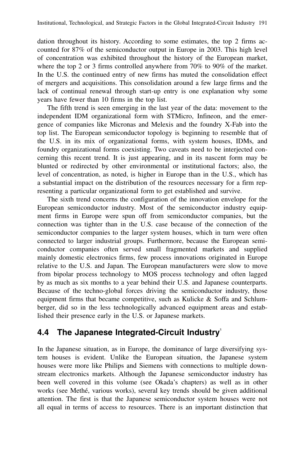dation throughout its history. According to some estimates, the top 2 firms accounted for 87% of the semiconductor output in Europe in 2003. This high level of concentration was exhibited throughout the history of the European market, where the top 2 or 3 firms controlled anywhere from 70% to 90% of the market. In the U.S. the continued entry of new firms has muted the consolidation effect of mergers and acquisitions. This consolidation around a few large firms and the lack of continual renewal through start-up entry is one explanation why some years have fewer than 10 firms in the top list.

The fifth trend is seen emerging in the last year of the data: movement to the independent IDM organizational form with STMicro, Infineon, and the emergence of companies like Micronas and Melexis and the foundry X-Fab into the top list. The European semiconductor topology is beginning to resemble that of the U.S. in its mix of organizational forms, with system houses, IDMs, and foundry organizational forms coexisting. Two caveats need to be interjected concerning this recent trend. It is just appearing, and in its nascent form may be blunted or redirected by other environmental or institutional factors; also, the level of concentration, as noted, is higher in Europe than in the U.S., which has a substantial impact on the distribution of the resources necessary for a firm representing a particular organizational form to get established and survive.

The sixth trend concerns the configuration of the innovation envelope for the European semiconductor industry. Most of the semiconductor industry equipment firms in Europe were spun off from semiconductor companies, but the connection was tighter than in the U.S. case because of the connection of the semiconductor companies to the larger system houses, which in turn were often connected to larger industrial groups. Furthermore, because the European semiconductor companies often served small fragmented markets and supplied mainly domestic electronics firms, few process innovations originated in Europe relative to the U.S. and Japan. The European manufacturers were slow to move from bipolar process technology to MOS process technology and often lagged by as much as six months to a year behind their U.S. and Japanese counterparts. Because of the techno-global forces driving the semiconductor industry, those equipment firms that became competitive, such as Kulicke & Soffa and Schlumberger, did so in the less technologically advanced equipment areas and established their presence early in the U.S. or Japanese markets.

### **4.4 The Japanese Integrated-Circuit Industry**<sup>5</sup>

In the Japanese situation, as in Europe, the dominance of large diversifying system houses is evident. Unlike the European situation, the Japanese system houses were more like Philips and Siemens with connections to multiple downstream electronics markets. Although the Japanese semiconductor industry has been well covered in this volume (see Okada's chapters) as well as in other works (see Methé, various works), several key trends should be given additional attention. The first is that the Japanese semiconductor system houses were not all equal in terms of access to resources. There is an important distinction that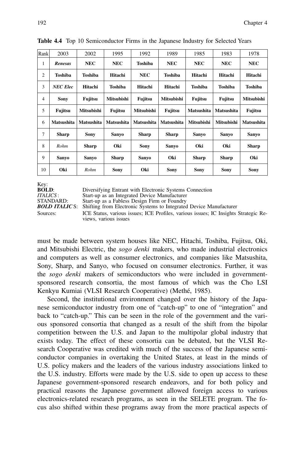| Rank           | 2003            | 2002              | 1995              | 1992              | 1989              | 1985              | 1983              | 1978              |
|----------------|-----------------|-------------------|-------------------|-------------------|-------------------|-------------------|-------------------|-------------------|
| 1              | Renesas         | <b>NEC</b>        | <b>NEC</b>        | Toshiba           | <b>NEC</b>        | <b>NEC</b>        | <b>NEC</b>        | <b>NEC</b>        |
| 2              | Toshiba         | Toshiba           | Hitachi           | <b>NEC</b>        | Toshiba           | Hitachi           | Hitachi           | Hitachi           |
| 3              | <b>NEC</b> Elec | Hitachi           | Toshiba           | Hitachi           | Hitachi           | Toshiba           | <b>Toshiba</b>    | Toshiba           |
| $\overline{4}$ | Sony            | <b>Fujitsu</b>    | <b>Mitsubishi</b> | Fujitsu           | <b>Mitsubishi</b> | <b>Fujitsu</b>    | <b>Fujitsu</b>    | <b>Mitsubishi</b> |
| 5              | Fujitsu         | <b>Mitsubishi</b> | Fujitsu           | <b>Mitsubishi</b> | <b>Fujitsu</b>    | <b>Matsushita</b> | <b>Matsushita</b> | Fujitsu           |
| 6              | Matsushita      | Matsushita        | <b>Matsushita</b> | Matsushita        | <b>Matsushita</b> | <b>Mitsubishi</b> | <b>Mitsubishi</b> | Matsushita        |
| 7              | <b>Sharp</b>    | Sony              | Sanyo             | Sharp             | <b>Sharp</b>      | Sanyo             | Sanyo             | Sanyo             |
| 8              | Rohm            | Sharp             | Oki               | Sony              | Sanyo             | Oki               | Oki               | Sharp             |
| 9              | Sanyo           | Sanyo             | Sharp             | Sanyo             | Oki               | Sharp             | Sharp             | Oki               |
| 10             | Oki             | Rohm              | Sony              | Oki               | Sony              | Sony              | Sony              | Sony              |

**Table 4.4** Top 10 Semiconductor Firms in the Japanese Industry for Selected Years

Key:<br>**BOLD**:

**BOLD:** Diversifying Entrant with Electronic Systems Connection *ITALICS*: Start-up as an Integrated Device Manufacturer

*ITALICS* : Start-up as an Integrated Device Manufacturer Start-up as a Fabless Design Firm or Foundry

**BOLD ITALIC**S: Shifting from Electronic Systems to Integrated Device Manufacturer

Sources: ICE Status, various issues; ICE Profiles, various issues; IC Insights Strategic Reviews, various issues

must be made between system houses like NEC, Hitachi, Toshiba, Fujitsu, Oki, and Mitsubishi Electric, the *sogo denki* makers, who made industrial electronics and computers as well as consumer electronics, and companies like Matsushita, Sony, Sharp, and Sanyo, who focused on consumer electronics. Further, it was the *sogo denki* makers of semiconductors who were included in governmentsponsored research consortia, the most famous of which was the Cho LSI Kenkyu Kumiai (VLSI Research Cooperative) (Methé, 1985).

Second, the institutional environment changed over the history of the Japanese semiconductor industry from one of "catch-up" to one of "integration" and back to "catch-up." This can be seen in the role of the government and the various sponsored consortia that changed as a result of the shift from the bipolar competition between the U.S. and Japan to the multipolar global industry that exists today. The effect of these consortia can be debated, but the VLSI Research Cooperative was credited with much of the success of the Japanese semiconductor companies in overtaking the United States, at least in the minds of U.S. policy makers and the leaders of the various industry associations linked to the U.S. industry. Efforts were made by the U.S. side to open up access to these Japanese government-sponsored research endeavors, and for both policy and practical reasons the Japanese government allowed foreign access to various electronics-related research programs, as seen in the SELETE program. The focus also shifted within these programs away from the more practical aspects of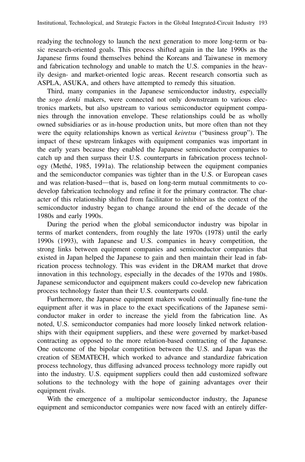readying the technology to launch the next generation to more long-term or basic research-oriented goals. This process shifted again in the late 1990s as the Japanese firms found themselves behind the Koreans and Taiwanese in memory and fabrication technology and unable to match the U.S. companies in the heavily design- and market-oriented logic areas. Recent research consortia such as ASPLA, ASUKA, and others have attempted to remedy this situation.

Third, many companies in the Japanese semiconductor industry, especially the *sogo denki* makers, were connected not only downstream to various electronics markets, but also upstream to various semiconductor equipment companies through the innovation envelope. These relationships could be as wholly owned subsidiaries or as in-house production units, but more often than not they were the equity relationships known as vertical *keiretsu* ("business group"). The impact of these upstream linkages with equipment companies was important in the early years because they enabled the Japanese semiconductor companies to catch up and then surpass their U.S. counterparts in fabrication process technology (Methé, 1985, 1991a). The relationship between the equipment companies and the semiconductor companies was tighter than in the U.S. or European cases and was relation-based―that is, based on long-term mutual commitments to codevelop fabrication technology and refine it for the primary contractor. The character of this relationship shifted from facilitator to inhibitor as the context of the semiconductor industry began to change around the end of the decade of the 1980s and early 1990s.

During the period when the global semiconductor industry was bipolar in terms of market contenders, from roughly the late 1970s (1978) until the early 1990s (1993), with Japanese and U.S. companies in heavy competition, the strong links between equipment companies and semiconductor companies that existed in Japan helped the Japanese to gain and then maintain their lead in fabrication process technology. This was evident in the DRAM market that drove innovation in this technology, especially in the decades of the 1970s and 1980s. Japanese semiconductor and equipment makers could co-develop new fabrication process technology faster than their U.S. counterparts could.

Furthermore, the Japanese equipment makers would continually fine-tune the equipment after it was in place to the exact specifications of the Japanese semiconductor maker in order to increase the yield from the fabrication line. As noted, U.S. semiconductor companies had more loosely linked network relationships with their equipment suppliers, and these were governed by market-based contracting as opposed to the more relation-based contracting of the Japanese. One outcome of the bipolar competition between the U.S. and Japan was the creation of SEMATECH, which worked to advance and standardize fabrication process technology, thus diffusing advanced process technology more rapidly out into the industry. U.S. equipment suppliers could then add customized software solutions to the technology with the hope of gaining advantages over their equipment rivals.

With the emergence of a multipolar semiconductor industry, the Japanese equipment and semiconductor companies were now faced with an entirely differ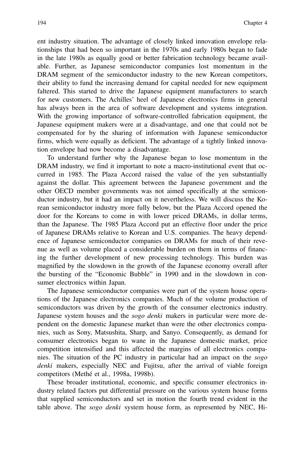ent industry situation. The advantage of closely linked innovation envelope relationships that had been so important in the 1970s and early 1980s began to fade in the late 1980s as equally good or better fabrication technology became available. Further, as Japanese semiconductor companies lost momentum in the DRAM segment of the semiconductor industry to the new Korean competitors, their ability to fund the increasing demand for capital needed for new equipment faltered. This started to drive the Japanese equipment manufacturers to search for new customers. The Achilles' heel of Japanese electronics firms in general has always been in the area of software development and systems integration. With the growing importance of software-controlled fabrication equipment, the Japanese equipment makers were at a disadvantage, and one that could not be compensated for by the sharing of information with Japanese semiconductor firms, which were equally as deficient. The advantage of a tightly linked innovation envelope had now become a disadvantage.

To understand further why the Japanese began to lose momentum in the DRAM industry, we find it important to note a macro-institutional event that occurred in 1985. The Plaza Accord raised the value of the yen substantially against the dollar. This agreement between the Japanese government and the other OECD member governments was not aimed specifically at the semiconductor industry, but it had an impact on it nevertheless. We will discuss the Korean semiconductor industry more fully below, but the Plaza Accord opened the door for the Koreans to come in with lower priced DRAMs, in dollar terms, than the Japanese. The 1985 Plaza Accord put an effective floor under the price of Japanese DRAMs relative to Korean and U.S. companies. The heavy dependence of Japanese semiconductor companies on DRAMs for much of their revenue as well as volume placed a considerable burden on them in terms of financing the further development of new processing technology. This burden was magnified by the slowdown in the growth of the Japanese economy overall after the bursting of the "Economic Bubble" in 1990 and in the slowdown in consumer electronics within Japan.

The Japanese semiconductor companies were part of the system house operations of the Japanese electronics companies. Much of the volume production of semiconductors was driven by the growth of the consumer electronics industry. Japanese system houses and the *sogo denki* makers in particular were more dependent on the domestic Japanese market than were the other electronics companies, such as Sony, Matsushita, Sharp, and Sanyo. Consequently, as demand for consumer electronics began to wane in the Japanese domestic market, price competition intensified and this affected the margins of all electronics companies. The situation of the PC industry in particular had an impact on the *sogo denki* makers, especially NEC and Fujitsu, after the arrival of viable foreign competitors (Methé et al., 1998a, 1998b).

These broader institutional, economic, and specific consumer electronics industry related factors put differential pressure on the various system house forms that supplied semiconductors and set in motion the fourth trend evident in the table above. The *sogo denki* system house form, as represented by NEC, Hi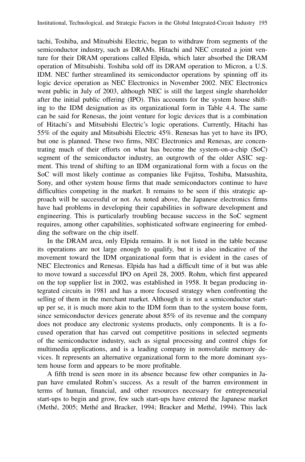tachi, Toshiba, and Mitsubishi Electric, began to withdraw from segments of the semiconductor industry, such as DRAMs. Hitachi and NEC created a joint venture for their DRAM operations called Elpida, which later absorbed the DRAM operation of Mitsubishi. Toshiba sold off its DRAM operation to Micron, a U.S. IDM. NEC further streamlined its semiconductor operations by spinning off its logic device operation as NEC Electronics in November 2002. NEC Electronics went public in July of 2003, although NEC is still the largest single shareholder after the initial public offering (IPO). This accounts for the system house shifting to the IDM designation as its organizational form in Table 4.4. The same can be said for Renesas, the joint venture for logic devices that is a combination of Hitachi's and Mitsubishi Electric's logic operations. Currently, Hitachi has 55% of the equity and Mitsubishi Electric 45%. Renesas has yet to have its IPO, but one is planned. These two firms, NEC Electronics and Renesas, are concentrating much of their efforts on what has become the system-on-a-chip (SoC) segment of the semiconductor industry, an outgrowth of the older ASIC segment. This trend of shifting to an IDM organizational form with a focus on the SoC will most likely continue as companies like Fujitsu, Toshiba, Matsushita, Sony, and other system house firms that made semiconductors continue to have difficulties competing in the market. It remains to be seen if this strategic approach will be successful or not. As noted above, the Japanese electronics firms have had problems in developing their capabilities in software development and engineering. This is particularly troubling because success in the SoC segment requires, among other capabilities, sophisticated software engineering for embedding the software on the chip itself.

In the DRAM area, only Elpida remains. It is not listed in the table because its operations are not large enough to qualify, but it is also indicative of the movement toward the IDM organizational form that is evident in the cases of NEC Electronics and Renesas. Elpida has had a difficult time of it but was able to move toward a successful IPO on April 28, 2005. Rohm, which first appeared on the top supplier list in 2002, was established in 1958. It began producing integrated circuits in 1981 and has a more focused strategy when confronting the selling of them in the merchant market. Although it is not a semiconductor startup per se, it is much more akin to the IDM form than to the system house form, since semiconductor devices generate about 85% of its revenue and the company does not produce any electronic systems products, only components. It is a focused operation that has carved out competitive positions in selected segments of the semiconductor industry, such as signal processing and control chips for multimedia applications, and is a leading company in nonvolatile memory devices. It represents an alternative organizational form to the more dominant system house form and appears to be more profitable.

A fifth trend is seen more in its absence because few other companies in Japan have emulated Rohm's success. As a result of the barren environment in terms of human, financial, and other resources necessary for entrepreneurial start-ups to begin and grow, few such start-ups have entered the Japanese market (Methé, 2005; Methé and Bracker, 1994; Bracker and Methé, 1994). This lack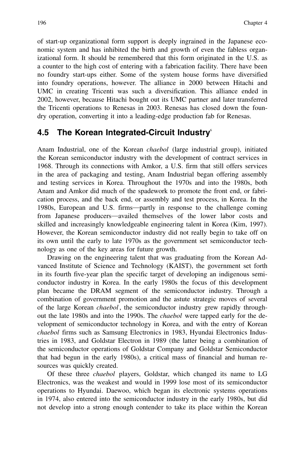of start-up organizational form support is deeply ingrained in the Japanese economic system and has inhibited the birth and growth of even the fabless organizational form. It should be remembered that this form originated in the U.S. as a counter to the high cost of entering with a fabrication facility. There have been no foundry start-ups either. Some of the system house forms have diversified into foundry operations, however. The alliance in 2000 between Hitachi and UMC in creating Tricenti was such a diversification. This alliance ended in 2002, however, because Hitachi bought out its UMC partner and later transferred the Tricenti operations to Renesas in 2003. Renesas has closed down the foundry operation, converting it into a leading-edge production fab for Renesas.

### **4.5 The Korean Integrated-Circuit Industry**<sup>6</sup>

Anam Industrial, one of the Korean *chaebol* (large industrial group), initiated the Korean semiconductor industry with the development of contract services in 1968. Through its connections with Amkor, a U.S. firm that still offers services in the area of packaging and testing, Anam Industrial began offering assembly and testing services in Korea. Throughout the 1970s and into the 1980s, both Anam and Amkor did much of the spadework to promote the front end, or fabrication process, and the back end, or assembly and test process, in Korea. In the 1980s, European and U.S. firms―partly in response to the challenge coming from Japanese producers―availed themselves of the lower labor costs and skilled and increasingly knowledgeable engineering talent in Korea (Kim, 1997). However, the Korean semiconductor industry did not really begin to take off on its own until the early to late 1970s as the government set semiconductor technology as one of the key areas for future growth.

Drawing on the engineering talent that was graduating from the Korean Advanced Institute of Science and Technology (KAIST), the government set forth in its fourth five-year plan the specific target of developing an indigenous semiconductor industry in Korea. In the early 1980s the focus of this development plan became the DRAM segment of the semiconductor industry. Through a combination of government promotion and the astute strategic moves of several of the large Korean *chaebol* , the semiconductor industry grew rapidly throughout the late 1980s and into the 1990s. The *chaebol* were tapped early for the development of semiconductor technology in Korea, and with the entry of Korean *chaebol* firms such as Samsung Electronics in 1983, Hyundai Electronics Industries in 1983, and Goldstar Electron in 1989 (the latter being a combination of the semiconductor operations of Goldstar Company and Goldstar Semiconductor that had begun in the early 1980s), a critical mass of financial and human resources was quickly created.

Of these three *chaebol* players, Goldstar, which changed its name to LG Electronics, was the weakest and would in 1999 lose most of its semiconductor operations to Hyundai. Daewoo, which began its electronic systems operations in 1974, also entered into the semiconductor industry in the early 1980s, but did not develop into a strong enough contender to take its place within the Korean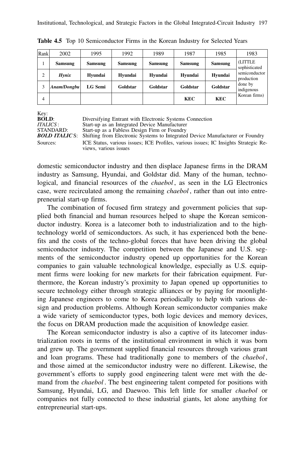| Rank           | 2002           | 1995           | 1992           | 1989           | 1987           | 1985           | 1983                            |
|----------------|----------------|----------------|----------------|----------------|----------------|----------------|---------------------------------|
|                | <b>Samsung</b> | <b>Samsung</b> | <b>Samsung</b> | <b>Samsung</b> | <b>Samsung</b> | <b>Samsung</b> | <b>(LITTLE</b><br>sophisticated |
| $\overline{c}$ | Hynix          | Hyundai        | Hyundai        | Hyundai        | Hyundai        | Hyundai        | semiconductor<br>production     |
| 3              | Anam/Dongbu    | <b>LG Semi</b> | Goldstar       | Goldstar       | Goldstar       | Goldstar       | done by<br>indigenous           |
| 4              |                |                |                |                | KEC            | <b>KEC</b>     | Korean firms)                   |

**Table 4.5** Top 10 Semiconductor Firms in the Korean Industry for Selected Years

Key:<br>**BOLD**:

**BOLD:** Diversifying Entrant with Electronic Systems Connection *ITALICS*: Start-up as an Integrated Device Manufacturer *ITALICS* : Start-up as an Integrated Device Manufacturer<br>
STANDARD: Start-up as a Fabless Design Firm or Foundry Start-up as a Fabless Design Firm or Foundry **BOLD ITALIC**S: Shifting from Electronic Systems to Integrated Device Manufacturer or Foundry Sources: ICE Status, various issues; ICE Profiles, various issues; IC Insights Strategic Reviews, various issues

domestic semiconductor industry and then displace Japanese firms in the DRAM industry as Samsung, Hyundai, and Goldstar did. Many of the human, technological, and financial resources of the *chaebol* , as seen in the LG Electronics case, were recirculated among the remaining *chaebol* , rather than out into entrepreneurial start-up firms.

The combination of focused firm strategy and government policies that supplied both financial and human resources helped to shape the Korean semiconductor industry. Korea is a latecomer both to industrialization and to the hightechnology world of semiconductors. As such, it has experienced both the benefits and the costs of the techno-global forces that have been driving the global semiconductor industry. The competition between the Japanese and U.S. segments of the semiconductor industry opened up opportunities for the Korean companies to gain valuable technological knowledge, especially as U.S. equipment firms were looking for new markets for their fabrication equipment. Furthermore, the Korean industry's proximity to Japan opened up opportunities to secure technology either through strategic alliances or by paying for moonlighting Japanese engineers to come to Korea periodically to help with various design and production problems. Although Korean semiconductor companies make a wide variety of semiconductor types, both logic devices and memory devices, the focus on DRAM production made the acquisition of knowledge easier.

The Korean semiconductor industry is also a captive of its latecomer industrialization roots in terms of the institutional environment in which it was born and grew up. The government supplied financial resources through various grant and loan programs. These had traditionally gone to members of the *chaebol* , and those aimed at the semiconductor industry were no different. Likewise, the government's efforts to supply good engineering talent were met with the demand from the *chaebol* . The best engineering talent competed for positions with Samsung, Hyundai, LG, and Daewoo. This left little for smaller *chaebol* or companies not fully connected to these industrial giants, let alone anything for entrepreneurial start-ups.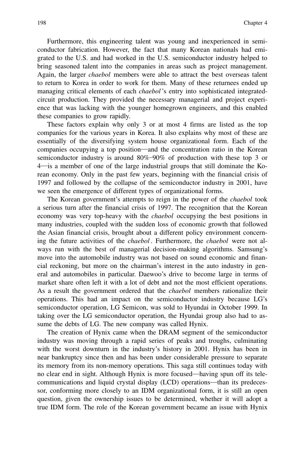Furthermore, this engineering talent was young and inexperienced in semiconductor fabrication. However, the fact that many Korean nationals had emigrated to the U.S. and had worked in the U.S. semiconductor industry helped to bring seasoned talent into the companies in areas such as project management. Again, the larger *chaebol* members were able to attract the best overseas talent to return to Korea in order to work for them. Many of these returnees ended up managing critical elements of each *chaebol*'s entry into sophisticated integratedcircuit production. They provided the necessary managerial and project experience that was lacking with the younger homegrown engineers, and this enabled these companies to grow rapidly.

These factors explain why only 3 or at most 4 firms are listed as the top companies for the various years in Korea. It also explains why most of these are essentially of the diversifying system house organizational form. Each of the companies occupying a top position―and the concentration ratio in the Korean semiconductor industry is around 80%―90% of production with these top 3 or 4―is a member of one of the large industrial groups that still dominate the Korean economy. Only in the past few years, beginning with the financial crisis of 1997 and followed by the collapse of the semiconductor industry in 2001, have we seen the emergence of different types of organizational forms.

The Korean government's attempts to reign in the power of the *chaebol* took a serious turn after the financial crisis of 1997. The recognition that the Korean economy was very top-heavy with the *chaebol* occupying the best positions in many industries, coupled with the sudden loss of economic growth that followed the Asian financial crisis, brought about a different policy environment concerning the future activities of the *chaebol* . Furthermore, the *chaebol* were not always run with the best of managerial decision-making algorithms. Samsung's move into the automobile industry was not based on sound economic and financial reckoning, but more on the chairman's interest in the auto industry in general and automobiles in particular. Daewoo's drive to become large in terms of market share often left it with a lot of debt and not the most efficient operations. As a result the government ordered that the *chaebol* members rationalize their operations. This had an impact on the semiconductor industry because LG's semiconductor operation, LG Semicon, was sold to Hyundai in October 1999. In taking over the LG semiconductor operation, the Hyundai group also had to assume the debts of LG. The new company was called Hynix.

The creation of Hynix came when the DRAM segment of the semiconductor industry was moving through a rapid series of peaks and troughs, culminating with the worst downturn in the industry's history in 2001. Hynix has been in near bankruptcy since then and has been under considerable pressure to separate its memory from its non-memory operations. This saga still continues today with no clear end in sight. Although Hynix is more focused―having spun off its telecommunications and liquid crystal display (LCD) operations―than its predecessor, conforming more closely to an IDM organizational form, it is still an open question, given the ownership issues to be determined, whether it will adopt a true IDM form. The role of the Korean government became an issue with Hynix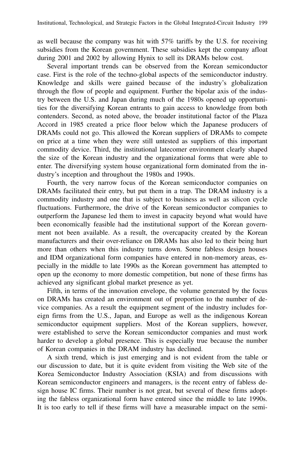as well because the company was hit with 57% tariffs by the U.S. for receiving subsidies from the Korean government. These subsidies kept the company afloat during 2001 and 2002 by allowing Hynix to sell its DRAMs below cost.

Several important trends can be observed from the Korean semiconductor case. First is the role of the techno-global aspects of the semiconductor industry. Knowledge and skills were gained because of the industry's globalization through the flow of people and equipment. Further the bipolar axis of the industry between the U.S. and Japan during much of the 1980s opened up opportunities for the diversifying Korean entrants to gain access to knowledge from both contenders. Second, as noted above, the broader institutional factor of the Plaza Accord in 1985 created a price floor below which the Japanese producers of DRAMs could not go. This allowed the Korean suppliers of DRAMs to compete on price at a time when they were still untested as suppliers of this important commodity device. Third, the institutional latecomer environment clearly shaped the size of the Korean industry and the organizational forms that were able to enter. The diversifying system house organizational form dominated from the industry's inception and throughout the 1980s and 1990s.

Fourth, the very narrow focus of the Korean semiconductor companies on DRAMs facilitated their entry, but put them in a trap. The DRAM industry is a commodity industry and one that is subject to business as well as silicon cycle fluctuations. Furthermore, the drive of the Korean semiconductor companies to outperform the Japanese led them to invest in capacity beyond what would have been economically feasible had the institutional support of the Korean government not been available. As a result, the overcapacity created by the Korean manufacturers and their over-reliance on DRAMs has also led to their being hurt more than others when this industry turns down. Some fabless design houses and IDM organizational form companies have entered in non-memory areas, especially in the middle to late 1990s as the Korean government has attempted to open up the economy to more domestic competition, but none of these firms has achieved any significant global market presence as yet.

Fifth, in terms of the innovation envelope, the volume generated by the focus on DRAMs has created an environment out of proportion to the number of device companies. As a result the equipment segment of the industry includes foreign firms from the U.S., Japan, and Europe as well as the indigenous Korean semiconductor equipment suppliers. Most of the Korean suppliers, however, were established to serve the Korean semiconductor companies and must work harder to develop a global presence. This is especially true because the number of Korean companies in the DRAM industry has declined.

A sixth trend, which is just emerging and is not evident from the table or our discussion to date, but it is quite evident from visiting the Web site of the Korea Semiconductor Industry Association (KSIA) and from discussions with Korean semiconductor engineers and managers, is the recent entry of fabless design house IC firms. Their number is not great, but several of these firms adopting the fabless organizational form have entered since the middle to late 1990s. It is too early to tell if these firms will have a measurable impact on the semi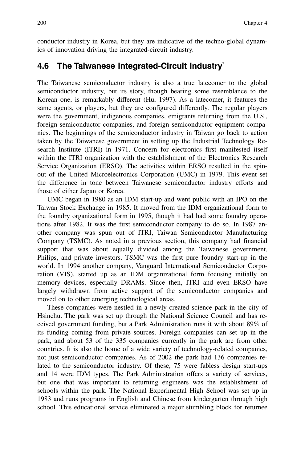conductor industry in Korea, but they are indicative of the techno-global dynamics of innovation driving the integrated-circuit industry.

### **4.6 The Taiwanese Integrated-Circuit Industry**<sup>7</sup>

The Taiwanese semiconductor industry is also a true latecomer to the global semiconductor industry, but its story, though bearing some resemblance to the Korean one, is remarkably different (Hu, 1997). As a latecomer, it features the same agents, or players, but they are configured differently. The regular players were the government, indigenous companies, emigrants returning from the U.S., foreign semiconductor companies, and foreign semiconductor equipment companies. The beginnings of the semiconductor industry in Taiwan go back to action taken by the Taiwanese government in setting up the Industrial Technology Research Institute (ITRI) in 1971. Concern for electronics first manifested itself within the ITRI organization with the establishment of the Electronics Research Service Organization (ERSO). The activities within ERSO resulted in the spinout of the United Microelectronics Corporation (UMC) in 1979. This event set the difference in tone between Taiwanese semiconductor industry efforts and those of either Japan or Korea.

UMC began in 1980 as an IDM start-up and went public with an IPO on the Taiwan Stock Exchange in 1985. It moved from the IDM organizational form to the foundry organizational form in 1995, though it had had some foundry operations after 1982. It was the first semiconductor company to do so. In 1987 another company was spun out of ITRI, Taiwan Semiconductor Manufacturing Company (TSMC). As noted in a previous section, this company had financial support that was about equally divided among the Taiwanese government, Philips, and private investors. TSMC was the first pure foundry start-up in the world. In 1994 another company, Vanguard International Semiconductor Corporation (VIS), started up as an IDM organizational form focusing initially on memory devices, especially DRAMs. Since then, ITRI and even ERSO have largely withdrawn from active support of the semiconductor companies and moved on to other emerging technological areas.

These companies were nestled in a newly created science park in the city of Hsinchu. The park was set up through the National Science Council and has received government funding, but a Park Administration runs it with about 89% of its funding coming from private sources. Foreign companies can set up in the park, and about 53 of the 335 companies currently in the park are from other countries. It is also the home of a wide variety of technology-related companies, not just semiconductor companies. As of 2002 the park had 136 companies related to the semiconductor industry. Of these, 75 were fabless design start-ups and 14 were IDM types. The Park Administration offers a variety of services, but one that was important to returning engineers was the establishment of schools within the park. The National Experimental High School was set up in 1983 and runs programs in English and Chinese from kindergarten through high school. This educational service eliminated a major stumbling block for returnee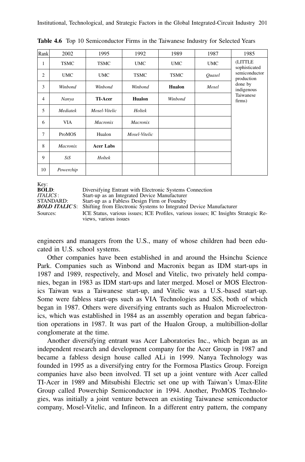| Rank           | 2002        | 1995             | 1992            | 1989          | 1987       | 1985                            |
|----------------|-------------|------------------|-----------------|---------------|------------|---------------------------------|
| 1              | <b>TSMC</b> | <b>TSMC</b>      | <b>UMC</b>      | <b>UMC</b>    | <b>UMC</b> | <b>(LITTLE</b><br>sophisticated |
| $\overline{c}$ | <b>UMC</b>  | <b>UMC</b>       | <b>TSMC</b>     | <b>TSMC</b>   | Ouasel     | semiconductor<br>production     |
| 3              | Winbond     | Winbond          | Winbond         | <b>Hualon</b> | Mosel      | done by<br>indigenous           |
| $\overline{4}$ | Nanya       | <b>TI-Acer</b>   | <b>Hualon</b>   | Winbond       |            | Taiwanese<br>firms)             |
| 5              | Mediatek    | Mosel-Vitelic    | Holtek          |               |            |                                 |
| 6              | <b>VIA</b>  | Macronix         | <i>Macronix</i> |               |            |                                 |
| $\overline{7}$ | ProMOS      | Hualon           | Mosel-Vitelic   |               |            |                                 |
| 8              | Macronix    | <b>Acer Labs</b> |                 |               |            |                                 |
| 9              | SiS         | Holtek           |                 |               |            |                                 |
| 10             | Powerchip   |                  |                 |               |            |                                 |

**Table 4.6** Top 10 Semiconductor Firms in the Taiwanese Industry for Selected Years

Key:<br>**BOLD**:

**BOLD:** Diversifying Entrant with Electronic Systems Connection *ITALICS*: Start-up as an Integrated Device Manufacturer *ITALICS* : Start-up as an Integrated Device Manufacturer<br> **STANDARD:** Start-up as a Fabless Design Firm or Foundry Start-up as a Fabless Design Firm or Foundry **BOLD ITALIC**S: Shifting from Electronic Systems to Integrated Device Manufacturer Sources: ICE Status, various issues; ICE Profiles, various issues; IC Insights Strategic Reviews, various issues

engineers and managers from the U.S., many of whose children had been educated in U.S. school systems.

Other companies have been established in and around the Hsinchu Science Park. Companies such as Winbond and Macronix began as IDM start-ups in 1987 and 1989, respectively, and Mosel and Vitelic, two privately held companies, began in 1983 as IDM start-ups and later merged. Mosel or MOS Electronics Taiwan was a Taiwanese start-up, and Vitelic was a U.S.-based start-up. Some were fabless start-ups such as VIA Technologies and SiS, both of which began in 1987. Others were diversifying entrants such as Hualon Microelectronics, which was established in 1984 as an assembly operation and began fabrication operations in 1987. It was part of the Hualon Group, a multibillion-dollar conglomerate at the time.

Another diversifying entrant was Acer Laboratories Inc., which began as an independent research and development company for the Acer Group in 1987 and became a fabless design house called ALi in 1999. Nanya Technology was founded in 1995 as a diversifying entry for the Formosa Plastics Group. Foreign companies have also been involved. TI set up a joint venture with Acer called TI-Acer in 1989 and Mitsubishi Electric set one up with Taiwan's Umax-Elite Group called Powerchip Semiconductor in 1994. Another, ProMOS Technologies, was initially a joint venture between an existing Taiwanese semiconductor company, Mosel-Vitelic, and Infineon. In a different entry pattern, the company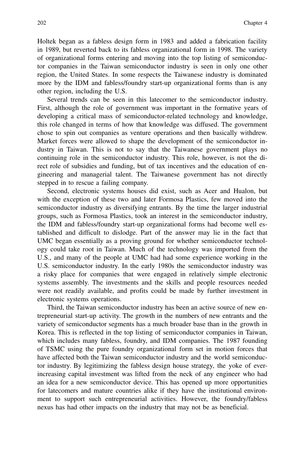Holtek began as a fabless design form in 1983 and added a fabrication facility in 1989, but reverted back to its fabless organizational form in 1998. The variety of organizational forms entering and moving into the top listing of semiconductor companies in the Taiwan semiconductor industry is seen in only one other region, the United States. In some respects the Taiwanese industry is dominated more by the IDM and fabless/foundry start-up organizational forms than is any other region, including the U.S.

Several trends can be seen in this latecomer to the semiconductor industry. First, although the role of government was important in the formative years of developing a critical mass of semiconductor-related technology and knowledge, this role changed in terms of how that knowledge was diffused. The government chose to spin out companies as venture operations and then basically withdrew. Market forces were allowed to shape the development of the semiconductor industry in Taiwan. This is not to say that the Taiwanese government plays no continuing role in the semiconductor industry. This role, however, is not the direct role of subsidies and funding, but of tax incentives and the education of engineering and managerial talent. The Taiwanese government has not directly stepped in to rescue a failing company.

Second, electronic systems houses did exist, such as Acer and Hualon, but with the exception of these two and later Formosa Plastics, few moved into the semiconductor industry as diversifying entrants. By the time the larger industrial groups, such as Formosa Plastics, took an interest in the semiconductor industry, the IDM and fabless/foundry start-up organizational forms had become well established and difficult to dislodge. Part of the answer may lie in the fact that UMC began essentially as a proving ground for whether semiconductor technology could take root in Taiwan. Much of the technology was imported from the U.S., and many of the people at UMC had had some experience working in the U.S. semiconductor industry. In the early 1980s the semiconductor industry was a risky place for companies that were engaged in relatively simple electronic systems assembly. The investments and the skills and people resources needed were not readily available, and profits could be made by further investment in electronic systems operations.

Third, the Taiwan semiconductor industry has been an active source of new entrepreneurial start-up activity. The growth in the numbers of new entrants and the variety of semiconductor segments has a much broader base than in the growth in Korea. This is reflected in the top listing of semiconductor companies in Taiwan, which includes many fabless, foundry, and IDM companies. The 1987 founding of TSMC using the pure foundry organizational form set in motion forces that have affected both the Taiwan semiconductor industry and the world semiconductor industry. By legitimizing the fabless design house strategy, the yoke of everincreasing capital investment was lifted from the neck of any engineer who had an idea for a new semiconductor device. This has opened up more opportunities for latecomers and mature countries alike if they have the institutional environment to support such entrepreneurial activities. However, the foundry/fabless nexus has had other impacts on the industry that may not be as beneficial.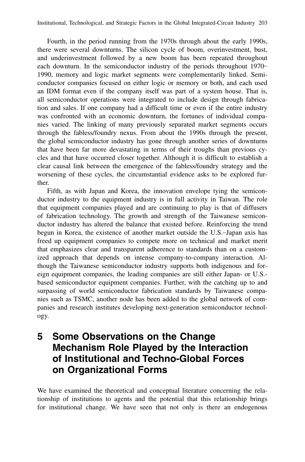Fourth, in the period running from the 1970s through about the early 1990s, there were several downturns. The silicon cycle of boom, overinvestment, bust, and underinvestment followed by a new boom has been repeated throughout each downturn. In the semiconductor industry of the periods throughout 1970― 1990, memory and logic market segments were complementarily linked. Semiconductor companies focused on either logic or memory or both, and each used an IDM format even if the company itself was part of a system house. That is, all semiconductor operations were integrated to include design through fabrication and sales. If one company had a difficult time or even if the entire industry was confronted with an economic downturn, the fortunes of individual companies varied. The linking of many previously separated market segments occurs through the fabless/foundry nexus. From about the 1990s through the present, the global semiconductor industry has gone through another series of downturns that have been far more devastating in terms of their troughs than previous cycles and that have occurred closer together. Although it is difficult to establish a clear causal link between the emergence of the fabless/foundry strategy and the worsening of these cycles, the circumstantial evidence asks to be explored further.

Fifth, as with Japan and Korea, the innovation envelope tying the semiconductor industry to the equipment industry is in full activity in Taiwan. The role that equipment companies played and are continuing to play is that of diffusers of fabrication technology. The growth and strength of the Taiwanese semiconductor industry has altered the balance that existed before. Reinforcing the trend begun in Korea, the existence of another market outside the U.S.―Japan axis has freed up equipment companies to compete more on technical and market merit that emphasizes clear and transparent adherence to standards than on a customized approach that depends on intense company-to-company interaction. Although the Taiwanese semiconductor industry supports both indigenous and foreign equipment companies, the leading companies are still either Japan- or U.S. based semiconductor equipment companies. Further, with the catching up to and surpassing of world semiconductor fabrication standards by Taiwanese companies such as TSMC, another node has been added to the global network of companies and research institutes developing next-generation semiconductor technology.

## **5 Some Observations on the Change Mechanism Role Played by the Interaction of Institutional and Techno-Global Forces on Organizational Forms**

We have examined the theoretical and conceptual literature concerning the relationship of institutions to agents and the potential that this relationship brings for institutional change. We have seen that not only is there an endogenous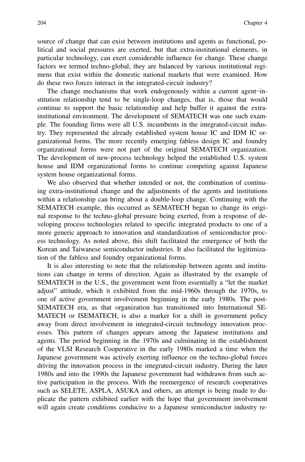source of change that can exist between institutions and agents as functional, political and social pressures are exerted, but that extra-institutional elements, in particular technology, can exert considerable influence for change. These change factors we termed techno-global; they are balanced by various institutional regimens that exist within the domestic national markets that were examined. How do these two forces interact in the integrated-circuit industry?

The change mechanisms that work endogenously within a current agent―institution relationship tend to be single-loop changes, that is, those that would continue to support the basic relationship and help buffer it against the extrainstitutional environment. The development of SEMATECH was one such example. The founding firms were all U.S. incumbents in the integrated-circuit industry. They represented the already established system house IC and IDM IC organizational forms. The more recently emerging fabless design IC and foundry organizational forms were not part of the original SEMATECH organization. The development of new-process technology helped the established U.S. system house and IDM organizational forms to continue competing against Japanese system house organizational forms.

We also observed that whether intended or not, the combination of continuing extra-institutional change and the adjustments of the agents and institutions within a relationship can bring about a double-loop change. Continuing with the SEMATECH example, this occurred as SEMATECH began to change its original response to the techno-global pressure being exerted, from a response of developing process technologies related to specific integrated products to one of a more generic approach to innovation and standardization of semiconductor process technology. As noted above, this shift facilitated the emergence of both the Korean and Taiwanese semiconductor industries. It also facilitated the legitimization of the fabless and foundry organizational forms.

It is also interesting to note that the relationship between agents and institutions can change in terms of direction. Again as illustrated by the example of SEMATECH in the U.S., the government went from essentially a "let the market adjust" attitude, which it exhibited from the mid-1960s through the 1970s, to one of active government involvement beginning in the early 1980s. The post-SEMATECH era, as that organization has transitioned into International SE-MATECH or ISEMATECH, is also a marker for a shift in government policy away from direct involvement in integrated-circuit technology innovation processes. This pattern of changes appears among the Japanese institutions and agents. The period beginning in the 1970s and culminating in the establishment of the VLSI Research Cooperative in the early 1980s marked a time when the Japanese government was actively exerting influence on the techno-global forces driving the innovation process in the integrated-circuit industry. During the later 1980s and into the 1990s the Japanese government had withdrawn from such active participation in the process. With the reemergence of research cooperatives such as SELETE, ASPLA, ASUKA and others, an attempt is being made to duplicate the pattern exhibited earlier with the hope that government involvement will again create conditions conducive to a Japanese semiconductor industry re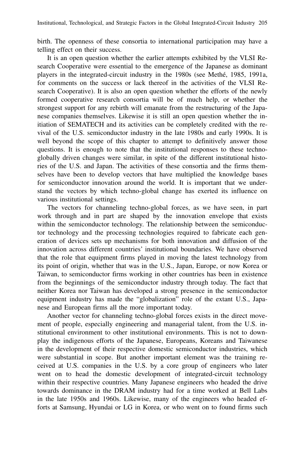birth. The openness of these consortia to international participation may have a telling effect on their success.

It is an open question whether the earlier attempts exhibited by the VLSI Research Cooperative were essential to the emergence of the Japanese as dominant players in the integrated-circuit industry in the 1980s (see Methé, 1985, 1991a, for comments on the success or lack thereof in the activities of the VLSI Research Cooperative). It is also an open question whether the efforts of the newly formed cooperative research consortia will be of much help, or whether the strongest support for any rebirth will emanate from the restructuring of the Japanese companies themselves. Likewise it is still an open question whether the initiation of SEMATECH and its activities can be completely credited with the revival of the U.S. semiconductor industry in the late 1980s and early 1990s. It is well beyond the scope of this chapter to attempt to definitively answer those questions. It is enough to note that the institutional responses to these technoglobally driven changes were similar, in spite of the different institutional histories of the U.S. and Japan. The activities of these consortia and the firms themselves have been to develop vectors that have multiplied the knowledge bases for semiconductor innovation around the world. It is important that we understand the vectors by which techno-global change has exerted its influence on various institutional settings.

The vectors for channeling techno-global forces, as we have seen, in part work through and in part are shaped by the innovation envelope that exists within the semiconductor technology. The relationship between the semiconductor technology and the processing technologies required to fabricate each generation of devices sets up mechanisms for both innovation and diffusion of the innovation across different countries' institutional boundaries. We have observed that the role that equipment firms played in moving the latest technology from its point of origin, whether that was in the U.S., Japan, Europe, or now Korea or Taiwan, to semiconductor firms working in other countries has been in existence from the beginnings of the semiconductor industry through today. The fact that neither Korea nor Taiwan has developed a strong presence in the semiconductor equipment industry has made the "globalization" role of the extant U.S., Japanese and European firms all the more important today.

Another vector for channeling techno-global forces exists in the direct movement of people, especially engineering and managerial talent, from the U.S. institutional environment to other institutional environments. This is not to downplay the indigenous efforts of the Japanese, Europeans, Koreans and Taiwanese in the development of their respective domestic semiconductor industries, which were substantial in scope. But another important element was the training received at U.S. companies in the U.S. by a core group of engineers who later went on to head the domestic development of integrated-circuit technology within their respective countries. Many Japanese engineers who headed the drive towards dominance in the DRAM industry had for a time worked at Bell Labs in the late 1950s and 1960s. Likewise, many of the engineers who headed efforts at Samsung, Hyundai or LG in Korea, or who went on to found firms such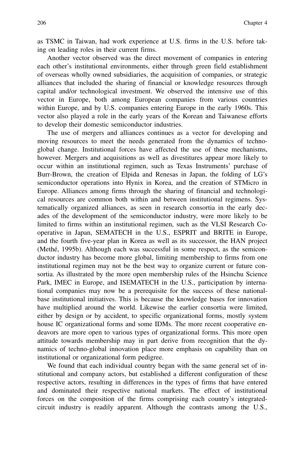as TSMC in Taiwan, had work experience at U.S. firms in the U.S. before taking on leading roles in their current firms.

Another vector observed was the direct movement of companies in entering each other's institutional environments, either through green field establishment of overseas wholly owned subsidiaries, the acquisition of companies, or strategic alliances that included the sharing of financial or knowledge resources through capital and/or technological investment. We observed the intensive use of this vector in Europe, both among European companies from various countries within Europe, and by U.S. companies entering Europe in the early 1960s. This vector also played a role in the early years of the Korean and Taiwanese efforts to develop their domestic semiconductor industries.

The use of mergers and alliances continues as a vector for developing and moving resources to meet the needs generated from the dynamics of technoglobal change. Institutional forces have affected the use of these mechanisms, however. Mergers and acquisitions as well as divestitures appear more likely to occur within an institutional regimen, such as Texas Instruments' purchase of Burr-Brown, the creation of Elpida and Renesas in Japan, the folding of LG's semiconductor operations into Hynix in Korea, and the creation of STMicro in Europe. Alliances among firms through the sharing of financial and technological resources are common both within and between institutional regimens. Systematically organized alliances, as seen in research consortia in the early decades of the development of the semiconductor industry, were more likely to be limited to firms within an institutional regimen, such as the VLSI Research Cooperative in Japan, SEMATECH in the U.S., ESPRIT and BRITE in Europe, and the fourth five-year plan in Korea as well as its successor, the HAN project (Methé, 1995b). Although each was successful in some respect, as the semiconductor industry has become more global, limiting membership to firms from one institutional regimen may not be the best way to organize current or future consortia. As illustrated by the more open membership rules of the Hsinchu Science Park, IMEC in Europe, and ISEMATECH in the U.S., participation by international companies may now be a prerequisite for the success of these nationalbase institutional initiatives. This is because the knowledge bases for innovation have multiplied around the world. Likewise the earlier consortia were limited, either by design or by accident, to specific organizational forms, mostly system house IC organizational forms and some IDMs. The more recent cooperative endeavors are more open to various types of organizational forms. This more open attitude towards membership may in part derive from recognition that the dynamics of techno-global innovation place more emphasis on capability than on institutional or organizational form pedigree.

We found that each individual country began with the same general set of institutional and company actors, but established a different configuration of these respective actors, resulting in differences in the types of firms that have entered and dominated their respective national markets. The effect of institutional forces on the composition of the firms comprising each country's integratedcircuit industry is readily apparent. Although the contrasts among the U.S.,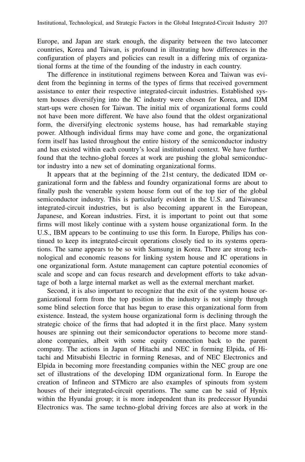Europe, and Japan are stark enough, the disparity between the two latecomer countries, Korea and Taiwan, is profound in illustrating how differences in the configuration of players and policies can result in a differing mix of organizational forms at the time of the founding of the industry in each country.

The difference in institutional regimens between Korea and Taiwan was evident from the beginning in terms of the types of firms that received government assistance to enter their respective integrated-circuit industries. Established system houses diversifying into the IC industry were chosen for Korea, and IDM start-ups were chosen for Taiwan. The initial mix of organizational forms could not have been more different. We have also found that the oldest organizational form, the diversifying electronic systems house, has had remarkable staying power. Although individual firms may have come and gone, the organizational form itself has lasted throughout the entire history of the semiconductor industry and has existed within each country's local institutional context. We have further found that the techno-global forces at work are pushing the global semiconductor industry into a new set of dominating organizational forms.

It appears that at the beginning of the 21st century, the dedicated IDM organizational form and the fabless and foundry organizational forms are about to finally push the venerable system house form out of the top tier of the global semiconductor industry. This is particularly evident in the U.S. and Taiwanese integrated-circuit industries, but is also becoming apparent in the European, Japanese, and Korean industries. First, it is important to point out that some firms will most likely continue with a system house organizational form. In the U.S., IBM appears to be continuing to use this form. In Europe, Philips has continued to keep its integrated-circuit operations closely tied to its systems operations. The same appears to be so with Samsung in Korea. There are strong technological and economic reasons for linking system house and IC operations in one organizational form. Astute management can capture potential economies of scale and scope and can focus research and development efforts to take advantage of both a large internal market as well as the external merchant market.

Second, it is also important to recognize that the exit of the system house organizational form from the top position in the industry is not simply through some blind selection force that has begun to erase this organizational form from existence. Instead, the system house organizational form is declining through the strategic choice of the firms that had adopted it in the first place. Many system houses are spinning out their semiconductor operations to become more standalone companies, albeit with some equity connection back to the parent company. The actions in Japan of Hitachi and NEC in forming Elpida, of Hitachi and Mitsubishi Electric in forming Renesas, and of NEC Electronics and Elpida in becoming more freestanding companies within the NEC group are one set of illustrations of the developing IDM organizational form. In Europe the creation of Infineon and STMicro are also examples of spinouts from system houses of their integrated-circuit operations. The same can be said of Hynix within the Hyundai group; it is more independent than its predecessor Hyundai Electronics was. The same techno-global driving forces are also at work in the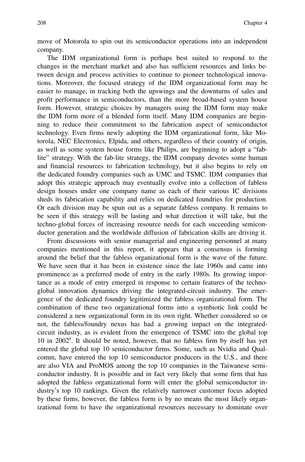move of Motorola to spin out its semiconductor operations into an independent company.

The IDM organizational form is perhaps best suited to respond to the changes in the merchant market and also has sufficient resources and links between design and process activities to continue to pioneer technological innovations. Moreover, the focused strategy of the IDM organizational form may be easier to manage, in tracking both the upswings and the downturns of sales and profit performance in semiconductors, than the more broad-based system house form. However, strategic choices by managers using the IDM form may make the IDM form more of a blended form itself. Many IDM companies are beginning to reduce their commitment to the fabrication aspect of semiconductor technology. Even firms newly adopting the IDM organizational form, like Motorola, NEC Electronics, Elpida, and others, regardless of their country of origin, as well as some system house forms like Philips, are beginning to adopt a "fablite" strategy. With the fab-lite strategy, the IDM company devotes some human and financial resources to fabrication technology, but it also begins to rely on the dedicated foundry companies such as UMC and TSMC. IDM companies that adopt this strategic approach may eventually evolve into a collection of fabless design houses under one company name as each of their various IC divisions sheds its fabrication capability and relies on dedicated foundries for production. Or each division may be spun out as a separate fabless company. It remains to be seen if this strategy will be lasting and what direction it will take, but the techno-global forces of increasing resource needs for each succeeding semiconductor generation and the worldwide diffusion of fabrication skills are driving it.

From discussions with senior managerial and engineering personnel at many companies mentioned in this report, it appears that a consensus is forming around the belief that the fabless organizational form is the wave of the future. We have seen that it has been in existence since the late 1960s and came into prominence as a preferred mode of entry in the early 1980s. Its growing importance as a mode of entry emerged in response to certain features of the technoglobal innovation dynamics driving the integrated-circuit industry. The emergence of the dedicated foundry legitimized the fabless organizational form. The combination of these two organizational forms into a symbiotic link could be considered a new organizational form in its own right. Whether considered so or not, the fabless/foundry nexus has had a growing impact on the integratedcircuit industry, as is evident from the emergence of TSMC into the global top 10 in 2002<sup>8</sup>. It should be noted, however, that no fabless firm by itself has yet entered the global top 10 semiconductor firms. Some, such as Nvidia and Qualcomm, have entered the top 10 semiconductor producers in the U.S., and there are also VIA and ProMOS among the top 10 companies in the Taiwanese semiconductor industry. It is possible and in fact very likely that some firm that has adopted the fabless organizational form will enter the global semiconductor industry's top 10 rankings. Given the relatively narrower customer focus adopted by these firms, however, the fabless form is by no means the most likely organizational form to have the organizational resources necessary to dominate over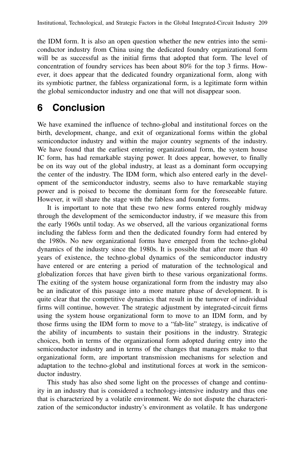the IDM form. It is also an open question whether the new entries into the semiconductor industry from China using the dedicated foundry organizational form will be as successful as the initial firms that adopted that form. The level of concentration of foundry services has been about 80% for the top 3 firms. However, it does appear that the dedicated foundry organizational form, along with its symbiotic partner, the fabless organizational form, is a legitimate form within the global semiconductor industry and one that will not disappear soon.

## **6 Conclusion**

We have examined the influence of techno-global and institutional forces on the birth, development, change, and exit of organizational forms within the global semiconductor industry and within the major country segments of the industry. We have found that the earliest entering organizational form, the system house IC form, has had remarkable staying power. It does appear, however, to finally be on its way out of the global industry, at least as a dominant form occupying the center of the industry. The IDM form, which also entered early in the development of the semiconductor industry, seems also to have remarkable staying power and is poised to become the dominant form for the foreseeable future. However, it will share the stage with the fabless and foundry forms.

It is important to note that these two new forms entered roughly midway through the development of the semiconductor industry, if we measure this from the early 1960s until today. As we observed, all the various organizational forms including the fabless form and then the dedicated foundry form had entered by the 1980s. No new organizational forms have emerged from the techno-global dynamics of the industry since the 1980s. It is possible that after more than 40 years of existence, the techno-global dynamics of the semiconductor industry have entered or are entering a period of maturation of the technological and globalization forces that have given birth to these various organizational forms. The exiting of the system house organizational form from the industry may also be an indicator of this passage into a more mature phase of development. It is quite clear that the competitive dynamics that result in the turnover of individual firms will continue, however. The strategic adjustment by integrated-circuit firms using the system house organizational form to move to an IDM form, and by those firms using the IDM form to move to a "fab-lite" strategy, is indicative of the ability of incumbents to sustain their positions in the industry. Strategic choices, both in terms of the organizational form adopted during entry into the semiconductor industry and in terms of the changes that managers make to that organizational form, are important transmission mechanisms for selection and adaptation to the techno-global and institutional forces at work in the semiconductor industry.

This study has also shed some light on the processes of change and continuity in an industry that is considered a technology-intensive industry and thus one that is characterized by a volatile environment. We do not dispute the characterization of the semiconductor industry's environment as volatile. It has undergone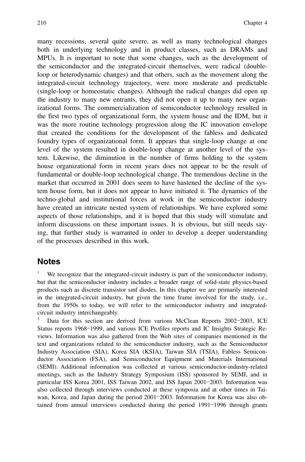many recessions, several quite severe, as well as many technological changes both in underlying technology and in product classes, such as DRAMs and MPUs. It is important to note that some changes, such as the development of the semiconductor and the integrated-circuit themselves, were radical (doubleloop or heterodynamic changes) and that others, such as the movement along the integrated-circuit technology trajectory, were more moderate and predictable (single-loop or homeostatic changes). Although the radical changes did open up the industry to many new entrants, they did not open it up to many new organizational forms. The commercialization of semiconductor technology resulted in the first two types of organizational form, the system house and the IDM, but it was the more routine technology progression along the IC innovation envelope that created the conditions for the development of the fabless and dedicated foundry types of organizational form. It appears that single-loop change at one level of the system resulted in double-loop change at another level of the system. Likewise, the diminution in the number of firms holding to the system house organizational form in recent years does not appear to be the result of fundamental or double-loop technological change. The tremendous decline in the market that occurred in 2001 does seem to have hastened the decline of the system house form, but it does not appear to have initiated it. The dynamics of the techno-global and institutional forces at work in the semiconductor industry have created an intricate nested system of relationships. We have explored some aspects of those relationships, and it is hoped that this study will stimulate and inform discussions on these important issues. It is obvious, but still needs saying, that further study is warranted in order to develop a deeper understanding of the processes described in this work.

#### **Notes**

We recognize that the integrated-circuit industry is part of the semiconductor industry, but that the semiconductor industry includes a broader range of solid-state physics-based products such as discrete transistor smf diodes. In this chapter we are primarily interested in the integrated-circuit industry, but given the time frame involved for the study, i.e., from the 1950s to today, we will refer to the semiconductor industry and integratedcircuit industry interchangeably.

Data for this section are derived from various McClean Reports 2002–2003, ICE Status reports 1968―1999, and various ICE Profiles reports and IC Insights Strategic Reviews. Information was also gathered from the Web sites of companies mentioned in the text and organizations related to the semiconductor industry, such as the Semiconductor Industry Association (SIA), Korea SIA (KSIA), Taiwan SIA (TSIA), Fabless Semiconductor Association (FSA), and Semiconductor Equipment and Materials International (SEMI). Additional information was collected at various semiconductor-industry-related meetings, such as the Industry Strategy Symposium (ISS) sponsored by SEMI, and in particular ISS Korea 2001, ISS Taiwan 2002, and ISS Japan 2001―2003. Information was also collected through interviews conducted at these symposia and at other times in Taiwan, Korea, and Japan during the period 2001–2003. Information for Korea was also obtained from annual interviews conducted during the period 1991―1996 through grants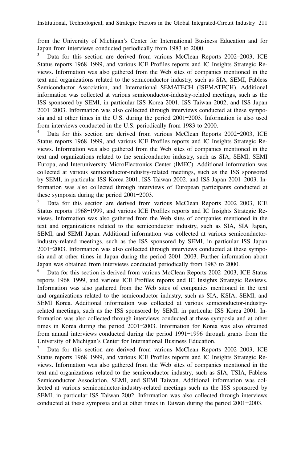from the University of Michigan's Center for International Business Education and for Japan from interviews conducted periodically from 1983 to 2000.

Data for this section are derived from various McClean Reports 2002-2003, ICE Status reports 1968―1999, and various ICE Profiles reports and IC Insights Strategic Reviews. Information was also gathered from the Web sites of companies mentioned in the text and organizations related to the semiconductor industry, such as SIA, SEMI, Fabless Semiconductor Association, and International SEMATECH (ISEMATECH). Additional information was collected at various semiconductor-industry-related meetings, such as the ISS sponsored by SEMI, in particular ISS Korea 2001, ISS Taiwan 2002, and ISS Japan 2001―2003. Information was also collected through interviews conducted at these symposia and at other times in the U.S. during the period 2001―2003. Information is also used from interviews conducted in the U.S. periodically from 1983 to 2000.

Data for this section are derived from various McClean Reports 2002–2003, ICE Status reports 1968―1999, and various ICE Profiles reports and IC Insights Strategic Reviews. Information was also gathered from the Web sites of companies mentioned in the text and organizations related to the semiconductor industry, such as SIA, SEMI, SEMI Europa, and Interuniversity MicroElectronics Center (IMEC). Additional information was collected at various semiconductor-industry-related meetings, such as the ISS sponsored by SEMI, in particular ISS Korea 2001, ISS Taiwan 2002, and ISS Japan 2001―2003. Information was also collected through interviews of European participants conducted at these symposia during the period 2001―2003.

<sup>5</sup> Data for this section are derived from various McClean Reports 2002-2003, ICE Status reports 1968―1999, and various ICE Profiles reports and IC Insights Strategic Reviews. Information was also gathered from the Web sites of companies mentioned in the text and organizations related to the semiconductor industry, such as SIA, SIA Japan, SEMI, and SEMI Japan. Additional information was collected at various semiconductorindustry-related meetings, such as the ISS sponsored by SEMI, in particular ISS Japan 2001―2003. Information was also collected through interviews conducted at these symposia and at other times in Japan during the period 2001―2003. Further information about Japan was obtained from interviews conducted periodically from 1983 to 2000.

Data for this section is derived from various McClean Reports 2002-2003, ICE Status reports 1968―1999, and various ICE Profiles reports and IC Insights Strategic Reviews. Information was also gathered from the Web sites of companies mentioned in the text and organizations related to the semiconductor industry, such as SIA, KSIA, SEMI, and SEMI Korea. Additional information was collected at various semiconductor-industryrelated meetings, such as the ISS sponsored by SEMI, in particular ISS Korea 2001. Information was also collected through interviews conducted at these symposia and at other times in Korea during the period 2001―2003. Information for Korea was also obtained from annual interviews conducted during the period 1991―1996 through grants from the University of Michigan's Center for International Business Education.

Data for this section are derived from various McClean Reports 2002-2003, ICE Status reports 1968―1999, and various ICE Profiles reports and IC Insights Strategic Reviews. Information was also gathered from the Web sites of companies mentioned in the text and organizations related to the semiconductor industry, such as SIA, TSIA, Fabless Semiconductor Association, SEMI, and SEMI Taiwan. Additional information was collected at various semiconductor-industry-related meetings such as the ISS sponsored by SEMI, in particular ISS Taiwan 2002. Information was also collected through interviews conducted at these symposia and at other times in Taiwan during the period  $2001-2003$ .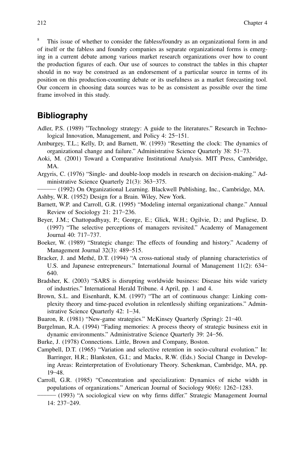This issue of whether to consider the fabless/foundry as an organizational form in and of itself or the fabless and foundry companies as separate organizational forms is emerging in a current debate among various market research organizations over how to count the production figures of each. Our use of sources to construct the tables in this chapter should in no way be construed as an endorsement of a particular source in terms of its position on this production-counting debate or its usefulness as a market forecasting tool. Our concern in choosing data sources was to be as consistent as possible over the time frame involved in this study.

### **Bibliography**

- Adler, P.S. (1989) "Technology strategy: A guide to the literatures." Research in Technological Innovation, Management, and Policy 4: 25―151.
- Amburgey, T.L.; Kelly, D; and Barnett, W. (1993) "Resetting the clock: The dynamics of organizational change and failure." Administrative Science Quarterly 38: 51―73.
- Aoki, M. (2001) Toward a Comparative Institutional Analysis. MIT Press, Cambridge, MA.
- Argyris, C. (1976) "Single- and double-loop models in research on decision-making." Administrative Science Quarterly 21(3): 363―375.
- ―――――― (1992) On Organizational Learning. Blackwell Publishing, Inc., Cambridge, MA.
- Ashby, W.R. (1952) Design for a Brain. Wiley, New York.
- Barnett, W.P. and Carroll, G.R. (1995) "Modeling internal organizational change." Annual Review of Sociology 21: 217―236.
- Beyer, J.M.; Chattopadhyay, P.; George, E.; Glick, W.H.; Ogilvie, D.; and Pugliese, D. (1997) "The selective perceptions of managers revisited." Academy of Management Journal 40: 717―737.
- Boeker, W. (1989) "Strategic change: The effects of founding and history." Academy of Management Journal 32(3): 489―515.
- Bracker, J. and Methé, D.T. (1994) "A cross-national study of planning characteristics of U.S. and Japanese entrepreneurs." International Journal of Management 11(2): 634– 640.
- Bradsher, K. (2003) "SARS is disrupting worldwide business: Disease hits wide variety of industries." International Herald Tribune. 4 April, pp. 1 and 4.
- Brown, S.L. and Eisenhardt, K.M. (1997) "The art of continuous change: Linking complexity theory and time-paced evolution in relentlessly shifting organizations." Administrative Science Quarterly 42: 1―34.
- Buaron, R. (1981) "New-game strategies." McKinsey Quarterly (Spring): 21-40.
- Burgelman, R.A. (1994) "Fading memories: A process theory of strategic business exit in dynamic environments." Administrative Science Quarterly 39: 24―56.
- Burke, J. (1978) Connections. Little, Brown and Company, Boston.
- Campbell, D.T. (1965) "Variation and selective retention in socio-cultural evolution." In: Barringer, H.R.; Blanksten, G.I.; and Macks, R.W. (Eds.) Social Change in Developing Areas: Reinterpretation of Evolutionary Theory. Schenkman, Cambridge, MA, pp. 19―48.
- Carroll, G.R. (1985) "Concentration and specialization: Dynamics of niche width in populations of organizations." American Journal of Sociology 90(6): 1262-1283.
- ―――――― (1993) "A sociological view on why firms differ." Strategic Management Journal 14: 237―249.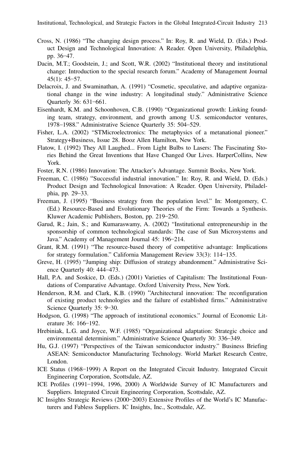- Cross, N. (1986) "The changing design process." In: Roy, R. and Wield, D. (Eds.) Product Design and Technological Innovation: A Reader. Open University, Philadelphia, pp. 36―47.
- Dacin, M.T.; Goodstein, J.; and Scott, W.R. (2002) "Institutional theory and institutional change: Introduction to the special research forum." Academy of Management Journal 45(1): 45―57.
- Delacroix, J. and Swaminathan, A. (1991) "Cosmetic, speculative, and adaptive organizational change in the wine industry: A longitudinal study." Administrative Science Quarterly 36: 631―661.
- Eisenhardt, K.M. and Schoonhoven, C.B. (1990) "Organizational growth: Linking founding team, strategy, environment, and growth among U.S. semiconductor ventures, 1978―1988." Administrative Science Quarterly 35: 504―529.
- Fisher, L.A. (2002) "STMicroelectronics: The metaphysics of a metanational pioneer." Strategy+Business, Issue 28. Booz Allen Hamilton, New York.
- Flatow, I. (1992) They All Laughed... From Light Bulbs to Lasers: The Fascinating Stories Behind the Great Inventions that Have Changed Our Lives. HarperCollins, New York.
- Foster, R.N. (1986) Innovation: The Attacker's Advantage. Summit Books, New York.
- Freeman, C. (1986) "Successful industrial innovation." In: Roy, R. and Wield, D. (Eds.) Product Design and Technological Innovation: A Reader. Open University, Philadelphia, pp. 29―33.
- Freeman, J. (1995) "Business strategy from the population level." In: Montgomery, C. (Ed.) Resource-Based and Evolutionary Theories of the Firm: Towards a Synthesis. Kluwer Academic Publishers, Boston, pp. 219―250.
- Garud, R.; Jain, S.; and Kumaraswamy, A. (2002) "Institutional entrepreneurship in the sponsorship of common technological standards: The case of Sun Microsystems and Java." Academy of Management Journal 45: 196―214.
- Grant, R.M. (1991) "The resource-based theory of competitive advantage: Implications for strategy formulation." California Management Review 33(3): 114―135.
- Greve, H. (1995) "Jumping ship: Diffusion of strategy abandonment." Administrative Science Quarterly 40: 444―473.
- Hall, P.A. and Soskice, D. (Eds.) (2001) Varieties of Capitalism: The Institutional Foundations of Comparative Advantage. Oxford University Press, New York.
- Henderson, R.M. and Clark, K.B. (1990) "Architectural innovation: The reconfiguration of existing product technologies and the failure of established firms." Administrative Science Quarterly 35: 9―30.
- Hodgson, G. (1998) "The approach of institutional economics." Journal of Economic Literature 36: 166―192.
- Hrebiniak, L.G. and Joyce, W.F. (1985) "Organizational adaptation: Strategic choice and environmental determinism." Administrative Science Quarterly 30: 336―349.
- Hu, G.J. (1997) "Perspectives of the Taiwan semiconductor industry." Business Briefing ASEAN: Semiconductor Manufacturing Technology. World Market Research Centre, London.
- ICE Status (1968―1999) A Report on the Integrated Circuit Industry. Integrated Circuit Engineering Corporation, Scottsdale, AZ.
- ICE Profiles (1991―1994, 1996, 2000) A Worldwide Survey of IC Manufacturers and Suppliers. Integrated Circuit Engineering Corporation, Scottsdale, AZ.
- IC Insights Strategic Reviews (2000―2003) Extensive Profiles of the World's IC Manufacturers and Fabless Suppliers. IC Insights, Inc., Scottsdale, AZ.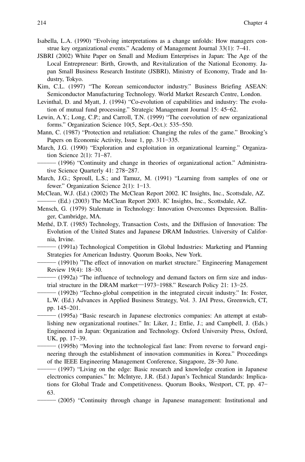- Isabella, L.A. (1990) "Evolving interpretations as a change unfolds: How managers construe key organizational events." Academy of Management Journal 33(1): 7―41.
- JSBRI (2002) White Paper on Small and Medium Enterprises in Japan: The Age of the Local Entrepreneur: Birth, Growth, and Revitalization of the National Economy. Japan Small Business Research Institute (JSBRI), Ministry of Economy, Trade and Industry, Tokyo.
- Kim, C.L. (1997) "The Korean semiconductor industry." Business Briefing ASEAN: Semiconductor Manufacturing Technology. World Market Research Centre, London.
- Levinthal, D. and Myatt, J. (1994) "Co-evolution of capabilities and industry: The evolution of mutual fund processing." Strategic Management Journal 15: 45―62.
- Lewin, A.Y.; Long, C.P.; and Carroll, T.N. (1999) "The coevolution of new organizational forms." Organization Science 10(5, Sept.-Oct.): 535―550.
- Mann, C. (1987) "Protection and retaliation: Changing the rules of the game." Brooking's Papers on Economic Activity, Issue 1, pp. 311–335.
- March, J.G. (1990) "Exploration and exploitation in organizational learning." Organization Science 2(1): 71―87.

―――――― (1996) "Continuity and change in theories of organizational action." Administrative Science Quarterly 41: 278―287.

- March, J.G.; Sproull, L.S.; and Tamuz, M. (1991) "Learning from samples of one or fewer." Organization Science 2(1): 1―13.
- McClean, W.J. (Ed.) (2002) The McClean Report 2002. IC Insights, Inc., Scottsdale, AZ. ―――――― (Ed.) (2003) The McClean Report 2003. IC Insights, Inc., Scottsdale, AZ.
- Mensch, G. (1979) Stalemate in Technology: Innovation Overcomes Depression. Ballinger, Cambridge, MA.
- Methé, D.T. (1985) Technology, Transaction Costs, and the Diffusion of Innovation: The Evolution of the United States and Japanese DRAM Industries. University of California, Irvine.

―――――― (1991a) Technological Competition in Global Industries: Marketing and Planning Strategies for American Industry. Quorum Books, New York.

―――――― (1991b) "The effect of innovation on market structure." Engineering Management Review 19(4): 18―30.

―――――― (1992a) "The influence of technology and demand factors on firm size and industrial structure in the DRAM market―1973―1988." Research Policy 21: 13―25.

―――――― (1992b) "Techno-global competition in the integrated circuit industry." In: Foster, L.W. (Ed.) Advances in Applied Business Strategy, Vol. 3. JAI Press, Greenwich, CT, pp. 145―201.

―――――― (1995a) "Basic research in Japanese electronics companies: An attempt at establishing new organizational routines." In: Liker, J.; Ettlie, J.; and Campbell, J. (Eds.) Engineered in Japan: Organization and Technology. Oxford University Press, Oxford, UK, pp. 17―39.

―――――― (1995b) "Moving into the technological fast lane: From reverse to forward engineering through the establishment of innovation communities in Korea." Proceedings of the IEEE Engineering Management Conference, Singapore, 28―30 June.

―――――― (1997) "Living on the edge: Basic research and knowledge creation in Japanese electronics companies." In: McIntyre, J.R. (Ed.) Japan's Technical Standards: Implications for Global Trade and Competitiveness. Quorum Books, Westport, CT, pp. 47― 63.

 $-$  (2005) "Continuity through change in Japanese management: Institutional and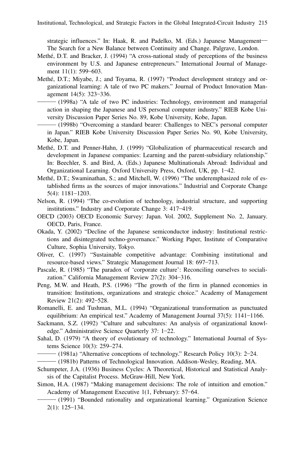strategic influences." In: Haak, R. and Padelko, M. (Eds.) Japanese Management― The Search for a New Balance between Continuity and Change. Palgrave, London.

- Methé, D.T. and Bracker, J. (1994) "A cross-national study of perceptions of the business environment by U.S. and Japanese entrepreneurs." International Journal of Management 11(1): 599–603.
- Methé, D.T.; Miyabe, J.; and Toyama, R. (1997) "Product development strategy and organizational learning: A tale of two PC makers." Journal of Product Innovation Management 14(5): 323―336.

―――――― (1998a) "A tale of two PC industries: Technology, environment and managerial action in shaping the Japanese and US personal computer industry." RIEB Kobe University Discussion Paper Series No. 89, Kobe University, Kobe, Japan.

―――――― (1998b) "Overcoming a standard bearer: Challenges to NEC's personal computer in Japan." RIEB Kobe University Discussion Paper Series No. 90, Kobe University, Kobe, Japan.

- Methé, D.T. and Penner-Hahn, J. (1999) "Globalization of pharmaceutical research and development in Japanese companies: Learning and the parent-subsidiary relationship." In: Beechler, S. and Bird, A. (Eds.) Japanese Multinationals Abroad: Individual and Organizational Learning. Oxford University Press, Oxford, UK, pp. 1―42.
- Methé, D.T.; Swaminathan, S.; and Mitchell, W. (1996) "The underemphasized role of established firms as the sources of major innovations." Industrial and Corporate Change 5(4): 1181―1203.
- Nelson, R. (1994) "The co-evolution of technology, industrial structure, and supporting institutions." Industry and Corporate Change 3: 417―419.
- OECD (2003) OECD Economic Survey: Japan. Vol. 2002, Supplement No. 2, January. OECD, Paris, France.
- Okada, Y. (2002) "Decline of the Japanese semiconductor industry: Institutional restrictions and disintegrated techno-governance." Working Paper, Institute of Comparative Culture, Sophia University, Tokyo.
- Oliver, C. (1997) "Sustainable competitive advantage: Combining institutional and resource-based views." Strategic Management Journal 18: 697―713.
- Pascale, R. (1985) "The paradox of 'corporate culture': Reconciling ourselves to socialization." California Management Review 27(2): 304―316.
- Peng, M.W. and Heath, P.S. (1996) "The growth of the firm in planned economies in transition: Institutions, organizations and strategic choice." Academy of Management Review 21(2): 492―528.
- Romanelli, E. and Tushman, M.L. (1994) "Organizational transformation as punctuated equilibrium: An empirical test." Academy of Management Journal 37(5): 1141―1166.

Sackmann, S.Z. (1992) "Culture and subcultures: An analysis of organizational knowledge." Administrative Science Quarterly 37: 1―22.

- Sahal, D. (1979) "A theory of evolutionary of technology." International Journal of Systems Science 10(3): 259―274.
- ―――――― (1981a) "Alternative conceptions of technology." Research Policy 10(3): 2―24.
- ―――――― (1981b) Patterns of Technological Innovation. Addison-Wesley, Reading, MA.
- Schumpeter, J.A. (1936) Business Cycles: A Theoretical, Historical and Statistical Analysis of the Capitalist Process. McGraw-Hill, New York.
- Simon, H.A. (1987) "Making management decisions: The role of intuition and emotion." Academy of Management Executive 1(1, February): 57―64.
	- ―――――― (1991) "Bounded rationality and organizational learning." Organization Science 2(1): 125―134.